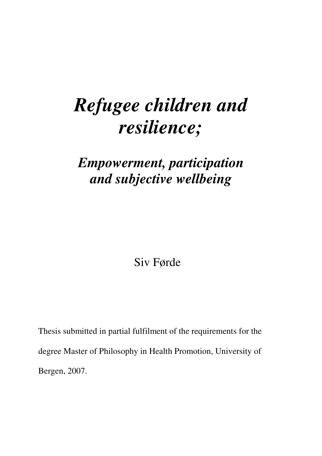# *Refugee children and resilience;*

# *Empowerment, participation and subjective wellbeing*

Siv Førde

Thesis submitted in partial fulfilment of the requirements for the degree Master of Philosophy in Health Promotion, University of Bergen, 2007.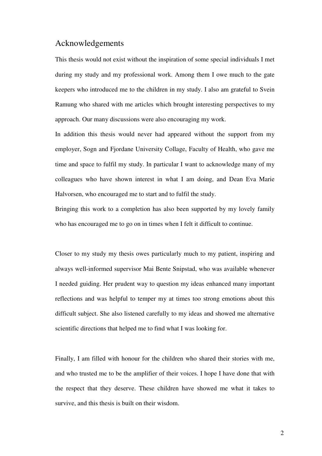#### Acknowledgements

This thesis would not exist without the inspiration of some special individuals I met during my study and my professional work. Among them I owe much to the gate keepers who introduced me to the children in my study. I also am grateful to Svein Ramung who shared with me articles which brought interesting perspectives to my approach. Our many discussions were also encouraging my work.

In addition this thesis would never had appeared without the support from my employer, Sogn and Fjordane University Collage, Faculty of Health, who gave me time and space to fulfil my study. In particular I want to acknowledge many of my colleagues who have shown interest in what I am doing, and Dean Eva Marie Halvorsen, who encouraged me to start and to fulfil the study.

Bringing this work to a completion has also been supported by my lovely family who has encouraged me to go on in times when I felt it difficult to continue.

Closer to my study my thesis owes particularly much to my patient, inspiring and always well-informed supervisor Mai Bente Snipstad, who was available whenever I needed guiding. Her prudent way to question my ideas enhanced many important reflections and was helpful to temper my at times too strong emotions about this difficult subject. She also listened carefully to my ideas and showed me alternative scientific directions that helped me to find what I was looking for.

Finally, I am filled with honour for the children who shared their stories with me, and who trusted me to be the amplifier of their voices. I hope I have done that with the respect that they deserve. These children have showed me what it takes to survive, and this thesis is built on their wisdom.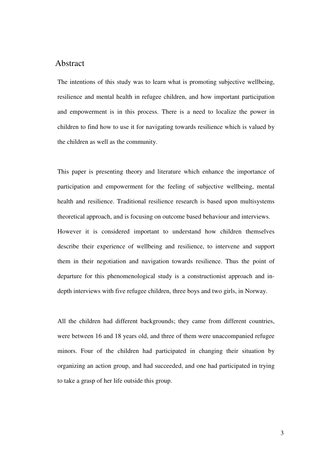#### Abstract

The intentions of this study was to learn what is promoting subjective wellbeing, resilience and mental health in refugee children, and how important participation and empowerment is in this process. There is a need to localize the power in children to find how to use it for navigating towards resilience which is valued by the children as well as the community.

This paper is presenting theory and literature which enhance the importance of participation and empowerment for the feeling of subjective wellbeing, mental health and resilience. Traditional resilience research is based upon multisystems theoretical approach, and is focusing on outcome based behaviour and interviews. However it is considered important to understand how children themselves describe their experience of wellbeing and resilience, to intervene and support them in their negotiation and navigation towards resilience. Thus the point of departure for this phenomenological study is a constructionist approach and indepth interviews with five refugee children, three boys and two girls, in Norway.

All the children had different backgrounds; they came from different countries, were between 16 and 18 years old, and three of them were unaccompanied refugee minors. Four of the children had participated in changing their situation by organizing an action group, and had succeeded, and one had participated in trying to take a grasp of her life outside this group.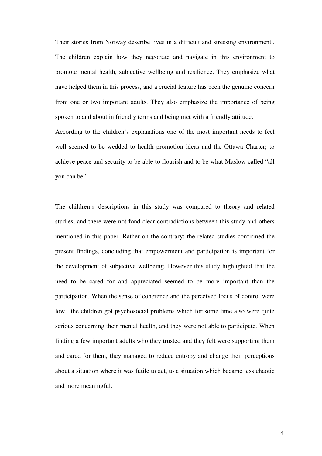Their stories from Norway describe lives in a difficult and stressing environment.. The children explain how they negotiate and navigate in this environment to promote mental health, subjective wellbeing and resilience. They emphasize what have helped them in this process, and a crucial feature has been the genuine concern from one or two important adults. They also emphasize the importance of being spoken to and about in friendly terms and being met with a friendly attitude.

According to the children's explanations one of the most important needs to feel well seemed to be wedded to health promotion ideas and the Ottawa Charter; to achieve peace and security to be able to flourish and to be what Maslow called "all you can be".

The children's descriptions in this study was compared to theory and related studies, and there were not fond clear contradictions between this study and others mentioned in this paper. Rather on the contrary; the related studies confirmed the present findings, concluding that empowerment and participation is important for the development of subjective wellbeing. However this study highlighted that the need to be cared for and appreciated seemed to be more important than the participation. When the sense of coherence and the perceived locus of control were low, the children got psychosocial problems which for some time also were quite serious concerning their mental health, and they were not able to participate. When finding a few important adults who they trusted and they felt were supporting them and cared for them, they managed to reduce entropy and change their perceptions about a situation where it was futile to act, to a situation which became less chaotic and more meaningful.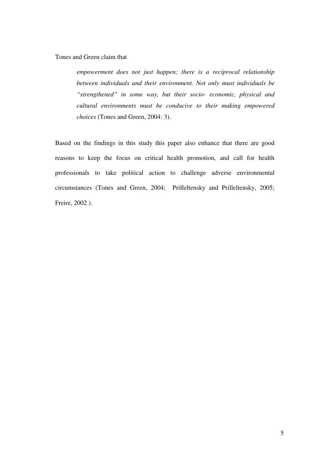Tones and Green claim that

*empowerment does not just happen; there is a reciprocal relationship between individuals and their environment. Not only must individuals be "strengthened" in some way, but their socio- economic, physical and cultural environments must be conducive to their making empowered choices* (Tones and Green, 2004: 3).

Based on the findings in this study this paper also enhance that there are good reasons to keep the focus on critical health promotion, and call for health professionals to take political action to challenge adverse environmental circumstances (Tones and Green, 2004; Prilleltensky and Prilleltensky, 2005; Freire, 2002 ).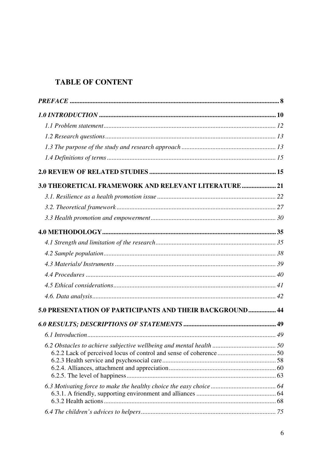# **TABLE OF CONTENT**

| 3.0 THEORETICAL FRAMEWORK AND RELEVANT LITERATURE 21     |  |
|----------------------------------------------------------|--|
|                                                          |  |
|                                                          |  |
|                                                          |  |
|                                                          |  |
|                                                          |  |
|                                                          |  |
|                                                          |  |
|                                                          |  |
|                                                          |  |
|                                                          |  |
| 5.0 PRESENTATION OF PARTICIPANTS AND THEIR BACKGROUND 44 |  |
|                                                          |  |
|                                                          |  |
|                                                          |  |
|                                                          |  |
|                                                          |  |
|                                                          |  |
|                                                          |  |
|                                                          |  |
|                                                          |  |
|                                                          |  |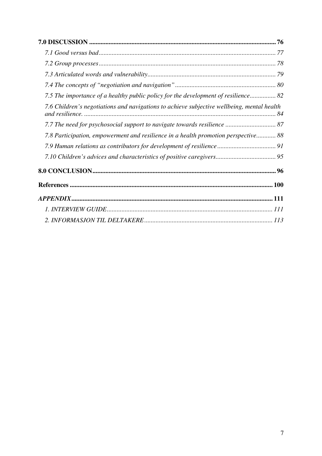| 7.5 The importance of a healthy public policy for the development of resilience 82         |  |
|--------------------------------------------------------------------------------------------|--|
| 7.6 Children's negotiations and navigations to achieve subjective wellbeing, mental health |  |
|                                                                                            |  |
| 7.8 Participation, empowerment and resilience in a health promotion perspective 88         |  |
|                                                                                            |  |
|                                                                                            |  |
|                                                                                            |  |
|                                                                                            |  |
|                                                                                            |  |
|                                                                                            |  |
|                                                                                            |  |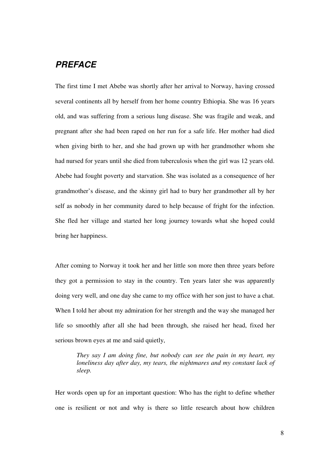### **PREFACE**

The first time I met Abebe was shortly after her arrival to Norway, having crossed several continents all by herself from her home country Ethiopia. She was 16 years old, and was suffering from a serious lung disease. She was fragile and weak, and pregnant after she had been raped on her run for a safe life. Her mother had died when giving birth to her, and she had grown up with her grandmother whom she had nursed for years until she died from tuberculosis when the girl was 12 years old. Abebe had fought poverty and starvation. She was isolated as a consequence of her grandmother's disease, and the skinny girl had to bury her grandmother all by her self as nobody in her community dared to help because of fright for the infection. She fled her village and started her long journey towards what she hoped could bring her happiness.

After coming to Norway it took her and her little son more then three years before they got a permission to stay in the country. Ten years later she was apparently doing very well, and one day she came to my office with her son just to have a chat. When I told her about my admiration for her strength and the way she managed her life so smoothly after all she had been through, she raised her head, fixed her serious brown eyes at me and said quietly,

*They say I am doing fine, but nobody can see the pain in my heart, my loneliness day after day, my tears, the nightmares and my constant lack of sleep.* 

Her words open up for an important question: Who has the right to define whether one is resilient or not and why is there so little research about how children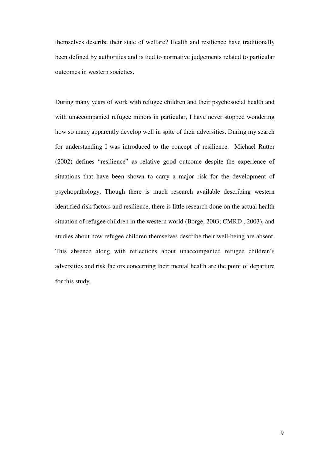themselves describe their state of welfare? Health and resilience have traditionally been defined by authorities and is tied to normative judgements related to particular outcomes in western societies.

During many years of work with refugee children and their psychosocial health and with unaccompanied refugee minors in particular, I have never stopped wondering how so many apparently develop well in spite of their adversities. During my search for understanding I was introduced to the concept of resilience. Michael Rutter (2002) defines "resilience" as relative good outcome despite the experience of situations that have been shown to carry a major risk for the development of psychopathology. Though there is much research available describing western identified risk factors and resilience, there is little research done on the actual health situation of refugee children in the western world (Borge, 2003; CMRD , 2003), and studies about how refugee children themselves describe their well-being are absent. This absence along with reflections about unaccompanied refugee children's adversities and risk factors concerning their mental health are the point of departure for this study.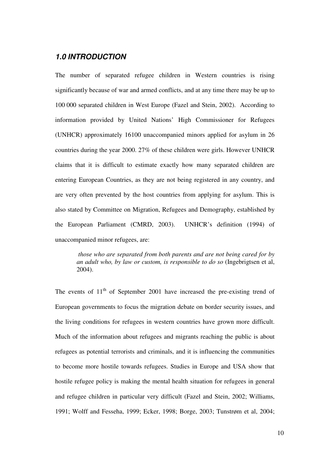#### **1.0 INTRODUCTION**

The number of separated refugee children in Western countries is rising significantly because of war and armed conflicts, and at any time there may be up to 100 000 separated children in West Europe (Fazel and Stein, 2002). According to information provided by United Nations' High Commissioner for Refugees (UNHCR) approximately 16100 unaccompanied minors applied for asylum in 26 countries during the year 2000. 27% of these children were girls. However UNHCR claims that it is difficult to estimate exactly how many separated children are entering European Countries, as they are not being registered in any country, and are very often prevented by the host countries from applying for asylum. This is also stated by Committee on Migration, Refugees and Demography, established by the European Parliament (CMRD, 2003). UNHCR's definition (1994) of unaccompanied minor refugees, are:

*those who are separated from both parents and are not being cared for by an adult who, by law or custom, is responsible to do so* (Ingebrigtsen et al, 2004).

The events of  $11<sup>th</sup>$  of September 2001 have increased the pre-existing trend of European governments to focus the migration debate on border security issues, and the living conditions for refugees in western countries have grown more difficult. Much of the information about refugees and migrants reaching the public is about refugees as potential terrorists and criminals, and it is influencing the communities to become more hostile towards refugees. Studies in Europe and USA show that hostile refugee policy is making the mental health situation for refugees in general and refugee children in particular very difficult (Fazel and Stein, 2002; Williams, 1991; Wolff and Fesseha, 1999; Ecker, 1998; Borge, 2003; Tunstrøm et al, 2004;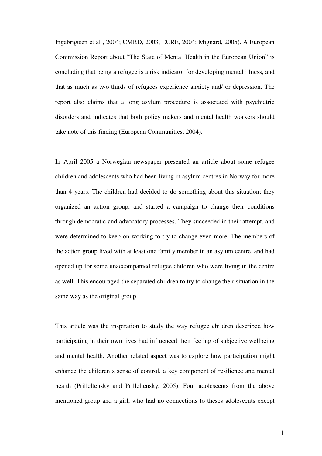Ingebrigtsen et al , 2004; CMRD, 2003; ECRE, 2004; Mignard, 2005). A European Commission Report about "The State of Mental Health in the European Union" is concluding that being a refugee is a risk indicator for developing mental illness, and that as much as two thirds of refugees experience anxiety and/ or depression. The report also claims that a long asylum procedure is associated with psychiatric disorders and indicates that both policy makers and mental health workers should take note of this finding (European Communities, 2004).

In April 2005 a Norwegian newspaper presented an article about some refugee children and adolescents who had been living in asylum centres in Norway for more than 4 years. The children had decided to do something about this situation; they organized an action group, and started a campaign to change their conditions through democratic and advocatory processes. They succeeded in their attempt, and were determined to keep on working to try to change even more. The members of the action group lived with at least one family member in an asylum centre, and had opened up for some unaccompanied refugee children who were living in the centre as well. This encouraged the separated children to try to change their situation in the same way as the original group.

This article was the inspiration to study the way refugee children described how participating in their own lives had influenced their feeling of subjective wellbeing and mental health. Another related aspect was to explore how participation might enhance the children's sense of control, a key component of resilience and mental health (Prilleltensky and Prilleltensky, 2005). Four adolescents from the above mentioned group and a girl, who had no connections to theses adolescents except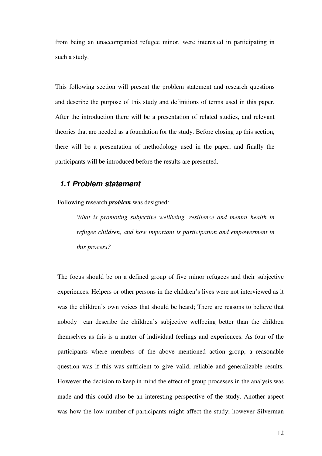from being an unaccompanied refugee minor, were interested in participating in such a study.

This following section will present the problem statement and research questions and describe the purpose of this study and definitions of terms used in this paper. After the introduction there will be a presentation of related studies, and relevant theories that are needed as a foundation for the study. Before closing up this section, there will be a presentation of methodology used in the paper, and finally the participants will be introduced before the results are presented.

#### **1.1 Problem statement**

Following research *problem* was designed:

*What is promoting subjective wellbeing, resilience and mental health in refugee children, and how important is participation and empowerment in this process?* 

The focus should be on a defined group of five minor refugees and their subjective experiences. Helpers or other persons in the children's lives were not interviewed as it was the children's own voices that should be heard; There are reasons to believe that nobody can describe the children's subjective wellbeing better than the children themselves as this is a matter of individual feelings and experiences. As four of the participants where members of the above mentioned action group, a reasonable question was if this was sufficient to give valid, reliable and generalizable results. However the decision to keep in mind the effect of group processes in the analysis was made and this could also be an interesting perspective of the study. Another aspect was how the low number of participants might affect the study; however Silverman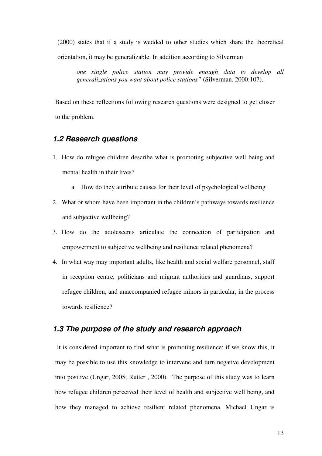(2000) states that if a study is wedded to other studies which share the theoretical orientation, it may be generalizable. In addition according to Silverman

*one single police station may provide enough data to develop all generalizations you want about police stations"* (Silverman, 2000:107).

Based on these reflections following research questions were designed to get closer to the problem.

#### **1.2 Research questions**

- 1. How do refugee children describe what is promoting subjective well being and mental health in their lives?
	- a. How do they attribute causes for their level of psychological wellbeing
- 2. What or whom have been important in the children's pathways towards resilience and subjective wellbeing?
- 3. How do the adolescents articulate the connection of participation and empowerment to subjective wellbeing and resilience related phenomena?
- 4. In what way may important adults, like health and social welfare personnel, staff in reception centre, politicians and migrant authorities and guardians, support refugee children, and unaccompanied refugee minors in particular, in the process towards resilience?

#### **1.3 The purpose of the study and research approach**

 It is considered important to find what is promoting resilience; if we know this, it may be possible to use this knowledge to intervene and turn negative development into positive (Ungar, 2005; Rutter , 2000). The purpose of this study was to learn how refugee children perceived their level of health and subjective well being, and how they managed to achieve resilient related phenomena. Michael Ungar is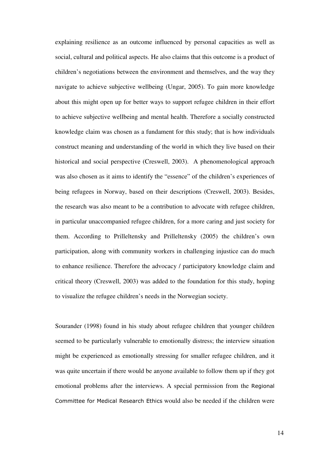explaining resilience as an outcome influenced by personal capacities as well as social, cultural and political aspects. He also claims that this outcome is a product of children's negotiations between the environment and themselves, and the way they navigate to achieve subjective wellbeing (Ungar, 2005). To gain more knowledge about this might open up for better ways to support refugee children in their effort to achieve subjective wellbeing and mental health. Therefore a socially constructed knowledge claim was chosen as a fundament for this study; that is how individuals construct meaning and understanding of the world in which they live based on their historical and social perspective (Creswell, 2003). A phenomenological approach was also chosen as it aims to identify the "essence" of the children's experiences of being refugees in Norway, based on their descriptions (Creswell, 2003). Besides, the research was also meant to be a contribution to advocate with refugee children, in particular unaccompanied refugee children, for a more caring and just society for them. According to Prilleltensky and Prilleltensky (2005) the children's own participation, along with community workers in challenging injustice can do much to enhance resilience. Therefore the advocacy / participatory knowledge claim and critical theory (Creswell, 2003) was added to the foundation for this study, hoping to visualize the refugee children's needs in the Norwegian society.

Sourander (1998) found in his study about refugee children that younger children seemed to be particularly vulnerable to emotionally distress; the interview situation might be experienced as emotionally stressing for smaller refugee children, and it was quite uncertain if there would be anyone available to follow them up if they got emotional problems after the interviews. A special permission from the Regional Committee for Medical Research Ethics would also be needed if the children were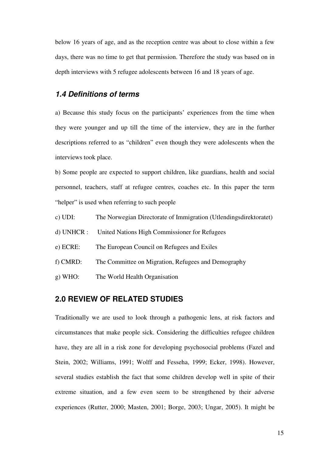below 16 years of age, and as the reception centre was about to close within a few days, there was no time to get that permission. Therefore the study was based on in depth interviews with 5 refugee adolescents between 16 and 18 years of age.

#### **1.4 Definitions of terms**

a) Because this study focus on the participants' experiences from the time when they were younger and up till the time of the interview, they are in the further descriptions referred to as "children" even though they were adolescents when the interviews took place.

b) Some people are expected to support children, like guardians, health and social personnel, teachers, staff at refugee centres, coaches etc. In this paper the term "helper" is used when referring to such people

- c) UDI: The Norwegian Directorate of Immigration (Utlendingsdirektoratet)
- d) UNHCR : United Nations High Commissioner for Refugees
- e) ECRE: The European Council on Refugees and Exiles
- f) CMRD: The Committee on Migration, Refugees and Demography
- g) WHO: The World Health Organisation

#### **2.0 REVIEW OF RELATED STUDIES**

Traditionally we are used to look through a pathogenic lens, at risk factors and circumstances that make people sick. Considering the difficulties refugee children have, they are all in a risk zone for developing psychosocial problems (Fazel and Stein, 2002; Williams, 1991; Wolff and Fesseha, 1999; Ecker, 1998). However, several studies establish the fact that some children develop well in spite of their extreme situation, and a few even seem to be strengthened by their adverse experiences (Rutter, 2000; Masten, 2001; Borge, 2003; Ungar, 2005). It might be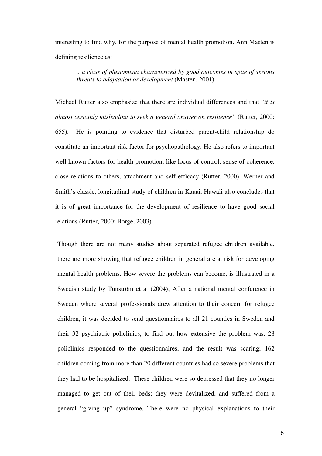interesting to find why, for the purpose of mental health promotion. Ann Masten is defining resilience as:

*.. a class of phenomena characterized by good outcomes in spite of serious threats to adaptation or development* (Masten, 2001).

Michael Rutter also emphasize that there are individual differences and that "*it is almost certainly misleading to seek a general answer on resilience"* (Rutter, 2000: 655). He is pointing to evidence that disturbed parent-child relationship do constitute an important risk factor for psychopathology. He also refers to important well known factors for health promotion, like locus of control, sense of coherence, close relations to others, attachment and self efficacy (Rutter, 2000). Werner and Smith's classic, longitudinal study of children in Kauai, Hawaii also concludes that it is of great importance for the development of resilience to have good social relations (Rutter, 2000; Borge, 2003).

Though there are not many studies about separated refugee children available, there are more showing that refugee children in general are at risk for developing mental health problems. How severe the problems can become, is illustrated in a Swedish study by Tunström et al (2004); After a national mental conference in Sweden where several professionals drew attention to their concern for refugee children, it was decided to send questionnaires to all 21 counties in Sweden and their 32 psychiatric policlinics, to find out how extensive the problem was. 28 policlinics responded to the questionnaires, and the result was scaring; 162 children coming from more than 20 different countries had so severe problems that they had to be hospitalized. These children were so depressed that they no longer managed to get out of their beds; they were devitalized, and suffered from a general "giving up" syndrome. There were no physical explanations to their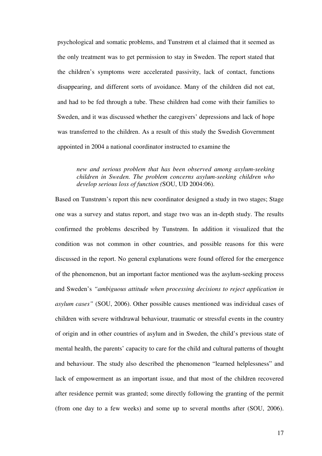psychological and somatic problems, and Tunstrøm et al claimed that it seemed as the only treatment was to get permission to stay in Sweden. The report stated that the children's symptoms were accelerated passivity, lack of contact, functions disappearing, and different sorts of avoidance. Many of the children did not eat, and had to be fed through a tube. These children had come with their families to Sweden, and it was discussed whether the caregivers' depressions and lack of hope was transferred to the children. As a result of this study the Swedish Government appointed in 2004 a national coordinator instructed to examine the

*new and serious problem that has been observed among asylum-seeking children in Sweden. The problem concerns asylum-seeking children who develop serious loss of function (*SOU, UD 2004:06).

Based on Tunstrøm's report this new coordinator designed a study in two stages; Stage one was a survey and status report, and stage two was an in-depth study. The results confirmed the problems described by Tunstrøm. In addition it visualized that the condition was not common in other countries, and possible reasons for this were discussed in the report. No general explanations were found offered for the emergence of the phenomenon, but an important factor mentioned was the asylum-seeking process and Sweden's *"ambiguous attitude when processing decisions to reject application in asylum cases"* (SOU, 2006). Other possible causes mentioned was individual cases of children with severe withdrawal behaviour, traumatic or stressful events in the country of origin and in other countries of asylum and in Sweden, the child's previous state of mental health, the parents' capacity to care for the child and cultural patterns of thought and behaviour. The study also described the phenomenon "learned helplessness" and lack of empowerment as an important issue, and that most of the children recovered after residence permit was granted; some directly following the granting of the permit (from one day to a few weeks) and some up to several months after (SOU, 2006).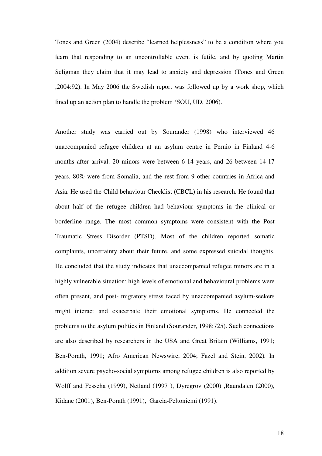Tones and Green (2004) describe "learned helplessness" to be a condition where you learn that responding to an uncontrollable event is futile, and by quoting Martin Seligman they claim that it may lead to anxiety and depression (Tones and Green ,2004:92). In May 2006 the Swedish report was followed up by a work shop, which lined up an action plan to handle the problem *(*SOU, UD, 2006).

Another study was carried out by Sourander (1998) who interviewed 46 unaccompanied refugee children at an asylum centre in Pernio in Finland 4-6 months after arrival. 20 minors were between 6-14 years, and 26 between 14-17 years. 80% were from Somalia, and the rest from 9 other countries in Africa and Asia. He used the Child behaviour Checklist (CBCL) in his research. He found that about half of the refugee children had behaviour symptoms in the clinical or borderline range. The most common symptoms were consistent with the Post Traumatic Stress Disorder (PTSD). Most of the children reported somatic complaints, uncertainty about their future, and some expressed suicidal thoughts. He concluded that the study indicates that unaccompanied refugee minors are in a highly vulnerable situation; high levels of emotional and behavioural problems were often present, and post- migratory stress faced by unaccompanied asylum-seekers might interact and exacerbate their emotional symptoms. He connected the problems to the asylum politics in Finland (Sourander, 1998:725). Such connections are also described by researchers in the USA and Great Britain (Williams, 1991; Ben-Porath, 1991; Afro American Newswire, 2004; Fazel and Stein, 2002)*.* In addition severe psycho-social symptoms among refugee children is also reported by Wolff and Fesseha (1999), Netland (1997 ), Dyregrov (2000) ,Raundalen (2000), Kidane (2001), Ben-Porath (1991), Garcia-Peltoniemi (1991).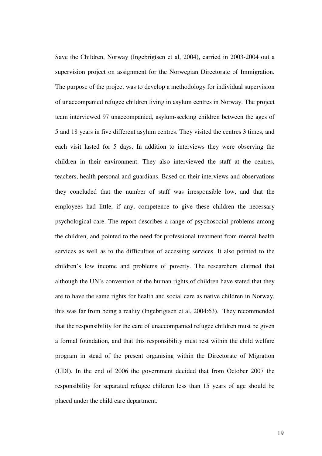Save the Children, Norway (Ingebrigtsen et al, 2004), carried in 2003-2004 out a supervision project on assignment for the Norwegian Directorate of Immigration. The purpose of the project was to develop a methodology for individual supervision of unaccompanied refugee children living in asylum centres in Norway. The project team interviewed 97 unaccompanied, asylum-seeking children between the ages of 5 and 18 years in five different asylum centres. They visited the centres 3 times, and each visit lasted for 5 days. In addition to interviews they were observing the children in their environment. They also interviewed the staff at the centres, teachers, health personal and guardians. Based on their interviews and observations they concluded that the number of staff was irresponsible low, and that the employees had little, if any, competence to give these children the necessary psychological care. The report describes a range of psychosocial problems among the children, and pointed to the need for professional treatment from mental health services as well as to the difficulties of accessing services. It also pointed to the children's low income and problems of poverty. The researchers claimed that although the UN's convention of the human rights of children have stated that they are to have the same rights for health and social care as native children in Norway, this was far from being a reality (Ingebrigtsen et al, 2004:63). They recommended that the responsibility for the care of unaccompanied refugee children must be given a formal foundation, and that this responsibility must rest within the child welfare program in stead of the present organising within the Directorate of Migration (UDI). In the end of 2006 the government decided that from October 2007 the responsibility for separated refugee children less than 15 years of age should be placed under the child care department.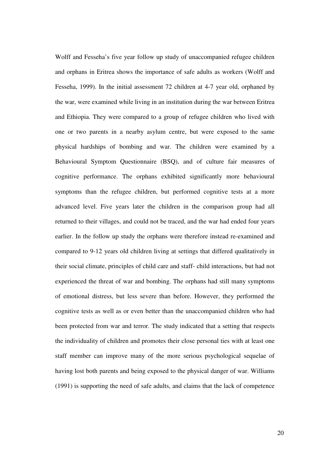Wolff and Fesseha's five year follow up study of unaccompanied refugee children and orphans in Eritrea shows the importance of safe adults as workers (Wolff and Fesseha, 1999). In the initial assessment 72 children at 4-7 year old, orphaned by the war, were examined while living in an institution during the war between Eritrea and Ethiopia. They were compared to a group of refugee children who lived with one or two parents in a nearby asylum centre, but were exposed to the same physical hardships of bombing and war. The children were examined by a Behavioural Symptom Questionnaire (BSQ), and of culture fair measures of cognitive performance. The orphans exhibited significantly more behavioural symptoms than the refugee children, but performed cognitive tests at a more advanced level. Five years later the children in the comparison group had all returned to their villages, and could not be traced, and the war had ended four years earlier. In the follow up study the orphans were therefore instead re-examined and compared to 9-12 years old children living at settings that differed qualitatively in their social climate, principles of child care and staff- child interactions, but had not experienced the threat of war and bombing. The orphans had still many symptoms of emotional distress, but less severe than before. However, they performed the cognitive tests as well as or even better than the unaccompanied children who had been protected from war and terror. The study indicated that a setting that respects the individuality of children and promotes their close personal ties with at least one staff member can improve many of the more serious psychological sequelae of having lost both parents and being exposed to the physical danger of war. Williams (1991) is supporting the need of safe adults, and claims that the lack of competence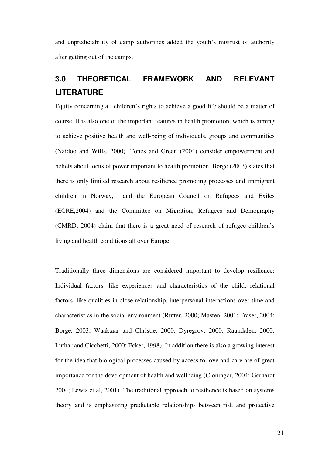and unpredictability of camp authorities added the youth's mistrust of authority after getting out of the camps.

# **3.0 THEORETICAL FRAMEWORK AND RELEVANT LITERATURE**

Equity concerning all children's rights to achieve a good life should be a matter of course. It is also one of the important features in health promotion, which is aiming to achieve positive health and well-being of individuals, groups and communities (Naidoo and Wills, 2000). Tones and Green (2004) consider empowerment and beliefs about locus of power important to health promotion. Borge (2003) states that there is only limited research about resilience promoting processes and immigrant children in Norway, and the European Council on Refugees and Exiles (ECRE,2004) and the Committee on Migration, Refugees and Demography (CMRD, 2004) claim that there is a great need of research of refugee children's living and health conditions all over Europe.

Traditionally three dimensions are considered important to develop resilience: Individual factors, like experiences and characteristics of the child, relational factors, like qualities in close relationship, interpersonal interactions over time and characteristics in the social environment (Rutter, 2000; Masten, 2001; Fraser, 2004; Borge, 2003; Waaktaar and Christie, 2000; Dyregrov, 2000; Raundalen, 2000; Luthar and Cicchetti, 2000; Ecker, 1998). In addition there is also a growing interest for the idea that biological processes caused by access to love and care are of great importance for the development of health and wellbeing (Cloninger, 2004; Gerhardt 2004; Lewis et al, 2001). The traditional approach to resilience is based on systems theory and is emphasizing predictable relationships between risk and protective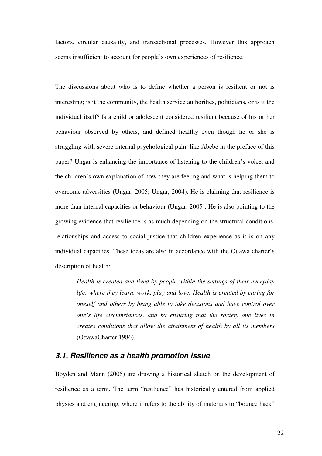factors, circular causality, and transactional processes. However this approach seems insufficient to account for people's own experiences of resilience.

The discussions about who is to define whether a person is resilient or not is interesting; is it the community, the health service authorities, politicians, or is it the individual itself? Is a child or adolescent considered resilient because of his or her behaviour observed by others, and defined healthy even though he or she is struggling with severe internal psychological pain, like Abebe in the preface of this paper? Ungar is enhancing the importance of listening to the children's voice, and the children's own explanation of how they are feeling and what is helping them to overcome adversities (Ungar, 2005; Ungar, 2004). He is claiming that resilience is more than internal capacities or behaviour (Ungar, 2005). He is also pointing to the growing evidence that resilience is as much depending on the structural conditions, relationships and access to social justice that children experience as it is on any individual capacities. These ideas are also in accordance with the Ottawa charter's description of health:

*Health is created and lived by people within the settings of their everyday life; where they learn, work, play and love. Health is created by caring for oneself and others by being able to take decisions and have control over one's life circumstances, and by ensuring that the society one lives in creates conditions that allow the attainment of health by all its members*  (OttawaCharter,1986).

#### **3.1. Resilience as a health promotion issue**

Boyden and Mann (2005) are drawing a historical sketch on the development of resilience as a term. The term "resilience" has historically entered from applied physics and engineering, where it refers to the ability of materials to "bounce back"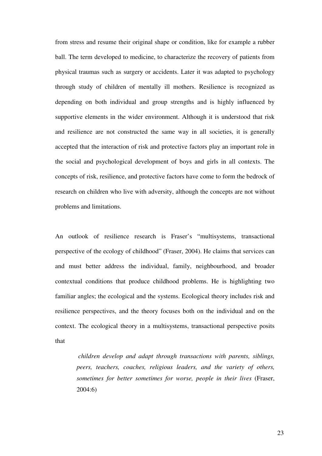from stress and resume their original shape or condition, like for example a rubber ball. The term developed to medicine, to characterize the recovery of patients from physical traumas such as surgery or accidents. Later it was adapted to psychology through study of children of mentally ill mothers. Resilience is recognized as depending on both individual and group strengths and is highly influenced by supportive elements in the wider environment. Although it is understood that risk and resilience are not constructed the same way in all societies, it is generally accepted that the interaction of risk and protective factors play an important role in the social and psychological development of boys and girls in all contexts. The concepts of risk, resilience, and protective factors have come to form the bedrock of research on children who live with adversity, although the concepts are not without problems and limitations.

An outlook of resilience research is Fraser's "multisystems, transactional perspective of the ecology of childhood" (Fraser, 2004). He claims that services can and must better address the individual, family, neighbourhood, and broader contextual conditions that produce childhood problems. He is highlighting two familiar angles; the ecological and the systems. Ecological theory includes risk and resilience perspectives, and the theory focuses both on the individual and on the context. The ecological theory in a multisystems, transactional perspective posits that

*children develop and adapt through transactions with parents, siblings, peers, teachers, coaches, religious leaders, and the variety of others, sometimes for better sometimes for worse, people in their lives* (Fraser, 2004:6)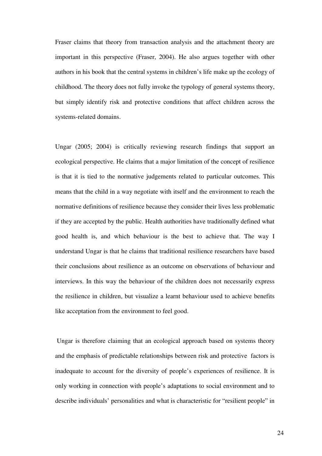Fraser claims that theory from transaction analysis and the attachment theory are important in this perspective (Fraser, 2004). He also argues together with other authors in his book that the central systems in children's life make up the ecology of childhood. The theory does not fully invoke the typology of general systems theory, but simply identify risk and protective conditions that affect children across the systems-related domains.

Ungar (2005; 2004) is critically reviewing research findings that support an ecological perspective. He claims that a major limitation of the concept of resilience is that it is tied to the normative judgements related to particular outcomes. This means that the child in a way negotiate with itself and the environment to reach the normative definitions of resilience because they consider their lives less problematic if they are accepted by the public. Health authorities have traditionally defined what good health is, and which behaviour is the best to achieve that. The way I understand Ungar is that he claims that traditional resilience researchers have based their conclusions about resilience as an outcome on observations of behaviour and interviews. In this way the behaviour of the children does not necessarily express the resilience in children, but visualize a learnt behaviour used to achieve benefits like acceptation from the environment to feel good.

 Ungar is therefore claiming that an ecological approach based on systems theory and the emphasis of predictable relationships between risk and protective factors is inadequate to account for the diversity of people's experiences of resilience. It is only working in connection with people's adaptations to social environment and to describe individuals' personalities and what is characteristic for "resilient people" in

24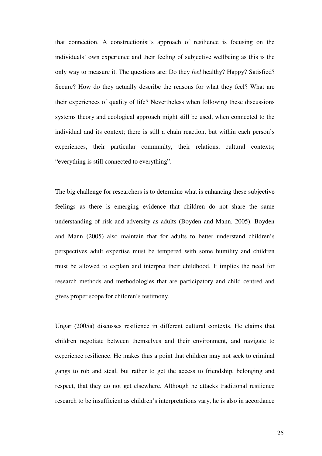that connection. A constructionist's approach of resilience is focusing on the individuals' own experience and their feeling of subjective wellbeing as this is the only way to measure it. The questions are: Do they *feel* healthy? Happy? Satisfied? Secure? How do they actually describe the reasons for what they feel? What are their experiences of quality of life? Nevertheless when following these discussions systems theory and ecological approach might still be used, when connected to the individual and its context; there is still a chain reaction, but within each person's experiences, their particular community, their relations, cultural contexts; "everything is still connected to everything".

The big challenge for researchers is to determine what is enhancing these subjective feelings as there is emerging evidence that children do not share the same understanding of risk and adversity as adults (Boyden and Mann, 2005). Boyden and Mann (2005) also maintain that for adults to better understand children's perspectives adult expertise must be tempered with some humility and children must be allowed to explain and interpret their childhood. It implies the need for research methods and methodologies that are participatory and child centred and gives proper scope for children's testimony.

Ungar (2005a) discusses resilience in different cultural contexts. He claims that children negotiate between themselves and their environment, and navigate to experience resilience. He makes thus a point that children may not seek to criminal gangs to rob and steal, but rather to get the access to friendship, belonging and respect, that they do not get elsewhere. Although he attacks traditional resilience research to be insufficient as children's interpretations vary, he is also in accordance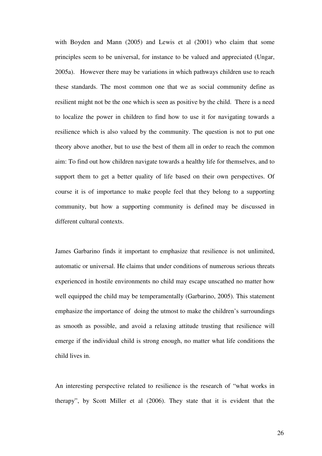with Boyden and Mann (2005) and Lewis et al (2001) who claim that some principles seem to be universal, for instance to be valued and appreciated (Ungar, 2005a). However there may be variations in which pathways children use to reach these standards. The most common one that we as social community define as resilient might not be the one which is seen as positive by the child. There is a need to localize the power in children to find how to use it for navigating towards a resilience which is also valued by the community. The question is not to put one theory above another, but to use the best of them all in order to reach the common aim: To find out how children navigate towards a healthy life for themselves, and to support them to get a better quality of life based on their own perspectives. Of course it is of importance to make people feel that they belong to a supporting community, but how a supporting community is defined may be discussed in different cultural contexts.

James Garbarino finds it important to emphasize that resilience is not unlimited, automatic or universal. He claims that under conditions of numerous serious threats experienced in hostile environments no child may escape unscathed no matter how well equipped the child may be temperamentally (Garbarino, 2005). This statement emphasize the importance of doing the utmost to make the children's surroundings as smooth as possible, and avoid a relaxing attitude trusting that resilience will emerge if the individual child is strong enough, no matter what life conditions the child lives in.

An interesting perspective related to resilience is the research of "what works in therapy", by Scott Miller et al (2006). They state that it is evident that the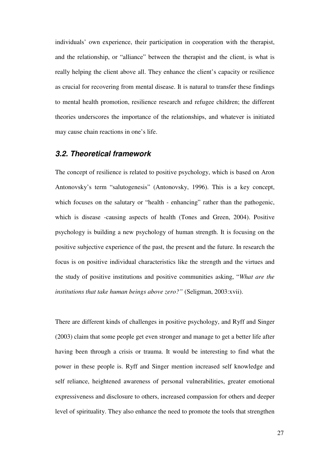individuals' own experience, their participation in cooperation with the therapist, and the relationship, or "alliance" between the therapist and the client, is what is really helping the client above all. They enhance the client's capacity or resilience as crucial for recovering from mental disease. It is natural to transfer these findings to mental health promotion, resilience research and refugee children; the different theories underscores the importance of the relationships, and whatever is initiated may cause chain reactions in one's life.

#### **3.2. Theoretical framework**

The concept of resilience is related to positive psychology, which is based on Aron Antonovsky's term "salutogenesis" (Antonovsky, 1996). This is a key concept, which focuses on the salutary or "health - enhancing" rather than the pathogenic, which is disease -causing aspects of health (Tones and Green, 2004). Positive psychology is building a new psychology of human strength. It is focusing on the positive subjective experience of the past, the present and the future. In research the focus is on positive individual characteristics like the strength and the virtues and the study of positive institutions and positive communities asking, "*What are the institutions that take human beings above zero?"* (Seligman, 2003:xvii).

There are different kinds of challenges in positive psychology, and Ryff and Singer (2003) claim that some people get even stronger and manage to get a better life after having been through a crisis or trauma. It would be interesting to find what the power in these people is. Ryff and Singer mention increased self knowledge and self reliance, heightened awareness of personal vulnerabilities, greater emotional expressiveness and disclosure to others, increased compassion for others and deeper level of spirituality. They also enhance the need to promote the tools that strengthen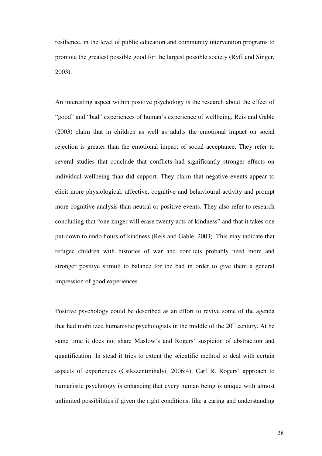resilience, in the level of public education and community intervention programs to promote the greatest possible good for the largest possible society (Ryff and Singer, 2003).

An interesting aspect within positive psychology is the research about the effect of "good" and "bad" experiences of human's experience of wellbeing. Reis and Gable (2003) claim that in children as well as adults the emotional impact on social rejection is greater than the emotional impact of social acceptance. They refer to several studies that conclude that conflicts had significantly stronger effects on individual wellbeing than did support. They claim that negative events appear to elicit more physiological, affective, cognitive and behavioural activity and prompt more cognitive analysis than neutral or positive events. They also refer to research concluding that "one zinger will erase twenty acts of kindness" and that it takes one put-down to undo hours of kindness (Reis and Gable, 2003). This may indicate that refugee children with histories of war and conflicts probably need more and stronger positive stimuli to balance for the bad in order to give them a general impression of good experiences.

Positive psychology could be described as an effort to revive some of the agenda that had mobilized humanistic psychologists in the middle of the  $20<sup>th</sup>$  century. At he same time it does not share Maslow's and Rogers' suspicion of abstraction and quantification. In stead it tries to extent the scientific method to deal with certain aspects of experiences (Csikszentmihalyi, 2006:4). Carl R. Rogers' approach to humanistic psychology is enhancing that every human being is unique with almost unlimited possibilities if given the right conditions, like a caring and understanding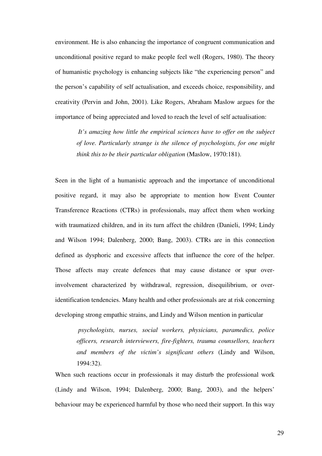environment. He is also enhancing the importance of congruent communication and unconditional positive regard to make people feel well (Rogers, 1980). The theory of humanistic psychology is enhancing subjects like "the experiencing person" and the person's capability of self actualisation, and exceeds choice, responsibility, and creativity (Pervin and John, 2001). Like Rogers, Abraham Maslow argues for the importance of being appreciated and loved to reach the level of self actualisation:

 *It's amazing how little the empirical sciences have to offer on the subject of love. Particularly strange is the silence of psychologists, for one might think this to be their particular obligation* (Maslow, 1970:181).

Seen in the light of a humanistic approach and the importance of unconditional positive regard, it may also be appropriate to mention how Event Counter Transference Reactions (CTRs) in professionals, may affect them when working with traumatized children, and in its turn affect the children (Danieli, 1994; Lindy and Wilson 1994; Dalenberg, 2000; Bang, 2003). CTRs are in this connection defined as dysphoric and excessive affects that influence the core of the helper. Those affects may create defences that may cause distance or spur overinvolvement characterized by withdrawal, regression, disequilibrium, or overidentification tendencies. Many health and other professionals are at risk concerning developing strong empathic strains, and Lindy and Wilson mention in particular

 *psychologists, nurses, social workers, physicians, paramedics, police officers, research interviewers, fire-fighters, trauma counsellors, teachers and members of the victim's significant others* (Lindy and Wilson, 1994:32).

When such reactions occur in professionals it may disturb the professional work (Lindy and Wilson, 1994; Dalenberg, 2000; Bang, 2003), and the helpers' behaviour may be experienced harmful by those who need their support. In this way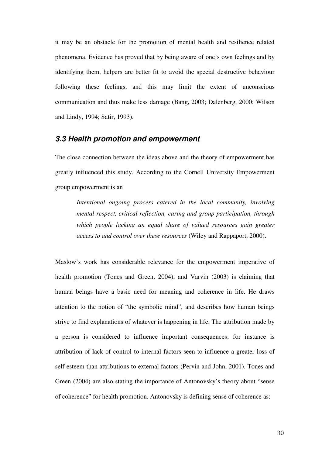it may be an obstacle for the promotion of mental health and resilience related phenomena. Evidence has proved that by being aware of one's own feelings and by identifying them, helpers are better fit to avoid the special destructive behaviour following these feelings, and this may limit the extent of unconscious communication and thus make less damage (Bang, 2003; Dalenberg, 2000; Wilson and Lindy, 1994; Satir, 1993).

#### **3.3 Health promotion and empowerment**

The close connection between the ideas above and the theory of empowerment has greatly influenced this study. According to the Cornell University Empowerment group empowerment is an

*Intentional ongoing process catered in the local community, involving mental respect, critical reflection, caring and group participation, through which people lacking an equal share of valued resources gain greater access to and control over these resources* (Wiley and Rappaport, 2000).

Maslow's work has considerable relevance for the empowerment imperative of health promotion (Tones and Green, 2004), and Varvin (2003) is claiming that human beings have a basic need for meaning and coherence in life. He draws attention to the notion of "the symbolic mind", and describes how human beings strive to find explanations of whatever is happening in life. The attribution made by a person is considered to influence important consequences; for instance is attribution of lack of control to internal factors seen to influence a greater loss of self esteem than attributions to external factors (Pervin and John, 2001). Tones and Green (2004) are also stating the importance of Antonovsky's theory about "sense of coherence" for health promotion. Antonovsky is defining sense of coherence as: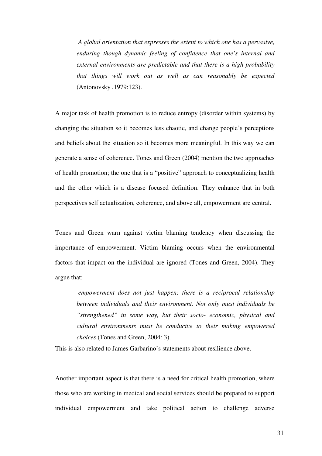*A global orientation that expresses the extent to which one has a pervasive, enduring though dynamic feeling of confidence that one's internal and external environments are predictable and that there is a high probability that things will work out as well as can reasonably be expected*  (Antonovsky ,1979:123).

A major task of health promotion is to reduce entropy (disorder within systems) by changing the situation so it becomes less chaotic, and change people's perceptions and beliefs about the situation so it becomes more meaningful. In this way we can generate a sense of coherence. Tones and Green (2004) mention the two approaches of health promotion; the one that is a "positive" approach to conceptualizing health and the other which is a disease focused definition. They enhance that in both perspectives self actualization, coherence, and above all, empowerment are central.

Tones and Green warn against victim blaming tendency when discussing the importance of empowerment. Victim blaming occurs when the environmental factors that impact on the individual are ignored (Tones and Green, 2004). They argue that:

*empowerment does not just happen; there is a reciprocal relationship between individuals and their environment. Not only must individuals be "strengthened" in some way, but their socio- economic, physical and cultural environments must be conducive to their making empowered choices* (Tones and Green, 2004: 3).

This is also related to James Garbarino's statements about resilience above.

Another important aspect is that there is a need for critical health promotion, where those who are working in medical and social services should be prepared to support individual empowerment and take political action to challenge adverse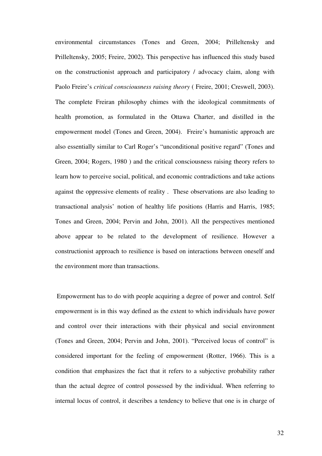environmental circumstances (Tones and Green, 2004; Prilleltensky and Prilleltensky, 2005; Freire, 2002). This perspective has influenced this study based on the constructionist approach and participatory / advocacy claim, along with Paolo Freire's *critical consciousness raising theory* ( Freire, 2001; Creswell, 2003).

The complete Freiran philosophy chimes with the ideological commitments of health promotion, as formulated in the Ottawa Charter, and distilled in the empowerment model (Tones and Green, 2004). Freire's humanistic approach are also essentially similar to Carl Roger's "unconditional positive regard" (Tones and Green, 2004; Rogers, 1980 ) and the critical consciousness raising theory refers to learn how to perceive social, political, and economic contradictions and take actions against the oppressive elements of reality . These observations are also leading to transactional analysis' notion of healthy life positions (Harris and Harris, 1985; Tones and Green, 2004; Pervin and John, 2001). All the perspectives mentioned above appear to be related to the development of resilience. However a constructionist approach to resilience is based on interactions between oneself and the environment more than transactions.

 Empowerment has to do with people acquiring a degree of power and control. Self empowerment is in this way defined as the extent to which individuals have power and control over their interactions with their physical and social environment (Tones and Green, 2004; Pervin and John, 2001). "Perceived locus of control" is considered important for the feeling of empowerment (Rotter, 1966). This is a condition that emphasizes the fact that it refers to a subjective probability rather than the actual degree of control possessed by the individual. When referring to internal locus of control, it describes a tendency to believe that one is in charge of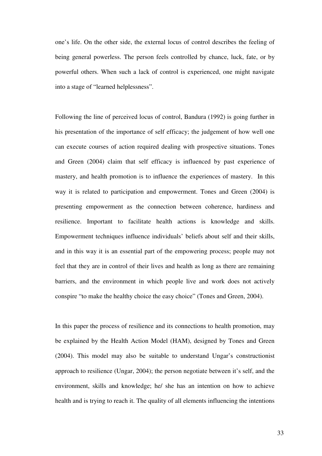one's life. On the other side, the external locus of control describes the feeling of being general powerless. The person feels controlled by chance, luck, fate, or by powerful others. When such a lack of control is experienced, one might navigate into a stage of "learned helplessness".

Following the line of perceived locus of control, Bandura (1992) is going further in his presentation of the importance of self efficacy; the judgement of how well one can execute courses of action required dealing with prospective situations. Tones and Green (2004) claim that self efficacy is influenced by past experience of mastery, and health promotion is to influence the experiences of mastery. In this way it is related to participation and empowerment. Tones and Green (2004) is presenting empowerment as the connection between coherence, hardiness and resilience. Important to facilitate health actions is knowledge and skills. Empowerment techniques influence individuals' beliefs about self and their skills, and in this way it is an essential part of the empowering process; people may not feel that they are in control of their lives and health as long as there are remaining barriers, and the environment in which people live and work does not actively conspire "to make the healthy choice the easy choice" (Tones and Green, 2004).

In this paper the process of resilience and its connections to health promotion, may be explained by the Health Action Model (HAM), designed by Tones and Green (2004). This model may also be suitable to understand Ungar's constructionist approach to resilience (Ungar, 2004); the person negotiate between it's self, and the environment, skills and knowledge; he/ she has an intention on how to achieve health and is trying to reach it. The quality of all elements influencing the intentions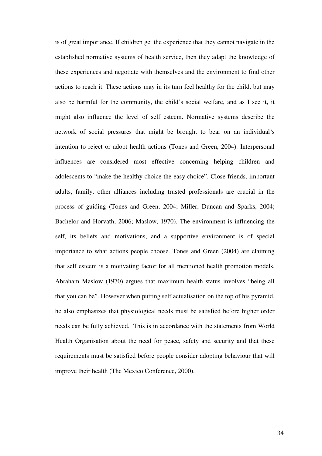is of great importance. If children get the experience that they cannot navigate in the established normative systems of health service, then they adapt the knowledge of these experiences and negotiate with themselves and the environment to find other actions to reach it. These actions may in its turn feel healthy for the child, but may also be harmful for the community, the child's social welfare, and as I see it, it might also influence the level of self esteem. Normative systems describe the network of social pressures that might be brought to bear on an individual's intention to reject or adopt health actions (Tones and Green, 2004). Interpersonal influences are considered most effective concerning helping children and adolescents to "make the healthy choice the easy choice". Close friends, important adults, family, other alliances including trusted professionals are crucial in the process of guiding (Tones and Green, 2004; Miller, Duncan and Sparks, 2004; Bachelor and Horvath, 2006; Maslow, 1970). The environment is influencing the self, its beliefs and motivations, and a supportive environment is of special importance to what actions people choose. Tones and Green (2004) are claiming that self esteem is a motivating factor for all mentioned health promotion models. Abraham Maslow (1970) argues that maximum health status involves "being all that you can be". However when putting self actualisation on the top of his pyramid, he also emphasizes that physiological needs must be satisfied before higher order needs can be fully achieved. This is in accordance with the statements from World Health Organisation about the need for peace, safety and security and that these requirements must be satisfied before people consider adopting behaviour that will improve their health (The Mexico Conference, 2000).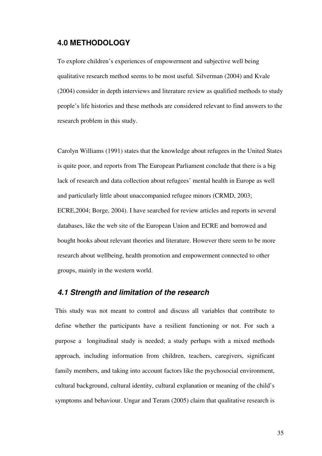#### **4.0 METHODOLOGY**

To explore children's experiences of empowerment and subjective well being qualitative research method seems to be most useful. Silverman (2004) and Kvale (2004) consider in depth interviews and literature review as qualified methods to study people's life histories and these methods are considered relevant to find answers to the research problem in this study.

Carolyn Williams (1991) states that the knowledge about refugees in the United States is quite poor, and reports from The European Parliament conclude that there is a big lack of research and data collection about refugees' mental health in Europe as well and particularly little about unaccompanied refugee minors (CRMD, 2003; ECRE,2004; Borge, 2004). I have searched for review articles and reports in several databases, like the web site of the European Union and ECRE and borrowed and bought books about relevant theories and literature. However there seem to be more research about wellbeing, health promotion and empowerment connected to other groups, mainly in the western world.

#### **4.1 Strength and limitation of the research**

This study was not meant to control and discuss all variables that contribute to define whether the participants have a resilient functioning or not. For such a purpose a longitudinal study is needed; a study perhaps with a mixed methods approach, including information from children, teachers, caregivers, significant family members, and taking into account factors like the psychosocial environment, cultural background, cultural identity, cultural explanation or meaning of the child's symptoms and behaviour. Ungar and Teram (2005) claim that qualitative research is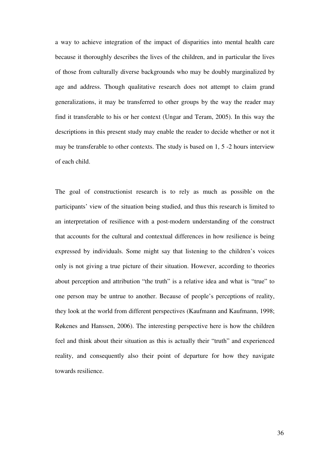a way to achieve integration of the impact of disparities into mental health care because it thoroughly describes the lives of the children, and in particular the lives of those from culturally diverse backgrounds who may be doubly marginalized by age and address. Though qualitative research does not attempt to claim grand generalizations, it may be transferred to other groups by the way the reader may find it transferable to his or her context (Ungar and Teram, 2005). In this way the descriptions in this present study may enable the reader to decide whether or not it may be transferable to other contexts. The study is based on 1, 5 -2 hours interview of each child.

The goal of constructionist research is to rely as much as possible on the participants' view of the situation being studied, and thus this research is limited to an interpretation of resilience with a post-modern understanding of the construct that accounts for the cultural and contextual differences in how resilience is being expressed by individuals. Some might say that listening to the children's voices only is not giving a true picture of their situation. However, according to theories about perception and attribution "the truth" is a relative idea and what is "true" to one person may be untrue to another. Because of people's perceptions of reality, they look at the world from different perspectives (Kaufmann and Kaufmann, 1998; Røkenes and Hanssen, 2006). The interesting perspective here is how the children feel and think about their situation as this is actually their "truth" and experienced reality, and consequently also their point of departure for how they navigate towards resilience.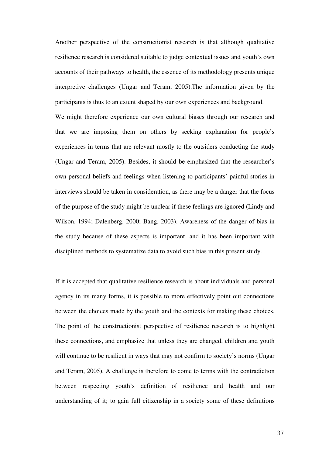Another perspective of the constructionist research is that although qualitative resilience research is considered suitable to judge contextual issues and youth's own accounts of their pathways to health, the essence of its methodology presents unique interpretive challenges (Ungar and Teram, 2005).The information given by the participants is thus to an extent shaped by our own experiences and background.

We might therefore experience our own cultural biases through our research and that we are imposing them on others by seeking explanation for people's experiences in terms that are relevant mostly to the outsiders conducting the study (Ungar and Teram, 2005). Besides, it should be emphasized that the researcher's own personal beliefs and feelings when listening to participants' painful stories in interviews should be taken in consideration, as there may be a danger that the focus of the purpose of the study might be unclear if these feelings are ignored (Lindy and Wilson, 1994; Dalenberg, 2000; Bang, 2003). Awareness of the danger of bias in the study because of these aspects is important, and it has been important with disciplined methods to systematize data to avoid such bias in this present study.

If it is accepted that qualitative resilience research is about individuals and personal agency in its many forms, it is possible to more effectively point out connections between the choices made by the youth and the contexts for making these choices. The point of the constructionist perspective of resilience research is to highlight these connections, and emphasize that unless they are changed, children and youth will continue to be resilient in ways that may not confirm to society's norms (Ungar and Teram, 2005). A challenge is therefore to come to terms with the contradiction between respecting youth's definition of resilience and health and our understanding of it; to gain full citizenship in a society some of these definitions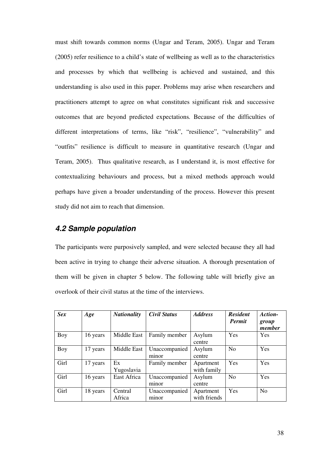must shift towards common norms (Ungar and Teram, 2005). Ungar and Teram (2005) refer resilience to a child's state of wellbeing as well as to the characteristics and processes by which that wellbeing is achieved and sustained, and this understanding is also used in this paper. Problems may arise when researchers and practitioners attempt to agree on what constitutes significant risk and successive outcomes that are beyond predicted expectations*.* Because of the difficulties of different interpretations of terms, like "risk", "resilience", "vulnerability" and "outfits" resilience is difficult to measure in quantitative research (Ungar and Teram, 2005). Thus qualitative research, as I understand it, is most effective for contextualizing behaviours and process, but a mixed methods approach would perhaps have given a broader understanding of the process. However this present study did not aim to reach that dimension.

# **4.2 Sample population**

The participants were purposively sampled, and were selected because they all had been active in trying to change their adverse situation. A thorough presentation of them will be given in chapter 5 below. The following table will briefly give an overlook of their civil status at the time of the interviews.

| <b>Sex</b> | Age      | <b>Nationality</b> | <b>Civil Status</b>    | <b>Address</b>            | <b>Resident</b><br><b>Permit</b> | Action-<br>group<br>member |
|------------|----------|--------------------|------------------------|---------------------------|----------------------------------|----------------------------|
| Boy        | 16 years | Middle East        | Family member          | Asylum<br>centre          | Yes                              | Yes                        |
| Boy        | 17 years | Middle East        | Unaccompanied<br>minor | Asylum<br>centre          | N <sub>o</sub>                   | Yes                        |
| Girl       | 17 years | Ex<br>Yugoslavia   | Family member          | Apartment<br>with family  | Yes                              | Yes                        |
| Girl       | 16 years | East Africa        | Unaccompanied<br>minor | Asylum<br>centre          | N <sub>0</sub>                   | Yes                        |
| Girl       | 18 years | Central<br>Africa  | Unaccompanied<br>minor | Apartment<br>with friends | Yes                              | N <sub>0</sub>             |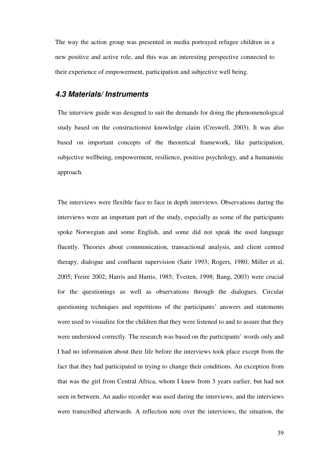The way the action group was presented in media portrayed refugee children in a new positive and active role, and this was an interesting perspective connected to their experience of empowerment, participation and subjective well being.

# **4.3 Materials/ Instruments**

The interview guide was designed to suit the demands for doing the phenomenological study based on the constructionist knowledge claim (Creswell, 2003). It was also based on important concepts of the theoretical framework, like participation, subjective wellbeing, empowerment, resilience, positive psychology, and a humanistic approach.

The interviews were flexible face to face in depth interviews. Observations during the interviews were an important part of the study, especially as some of the participants spoke Norwegian and some English, and some did not speak the used language fluently. Theories about communication, transactional analysis, and client centred therapy, dialogue and confluent supervision (Satir 1993; Rogers, 1980; Miller et al, 2005; Freire 2002; Harris and Harris, 1985; Tveiten, 1998; Bang, 2003) were crucial for the questionings as well as observations through the dialogues. Circular questioning techniques and repetitions of the participants' answers and statements were used to visualize for the children that they were listened to and to assure that they were understood correctly. The research was based on the participants' words only and I had no information about their life before the interviews took place except from the fact that they had participated in trying to change their conditions. An exception from that was the girl from Central Africa, whom I knew from 3 years earlier, but had not seen in between. An audio recorder was used during the interviews, and the interviews were transcribed afterwards. A reflection note over the interviews, the situation, the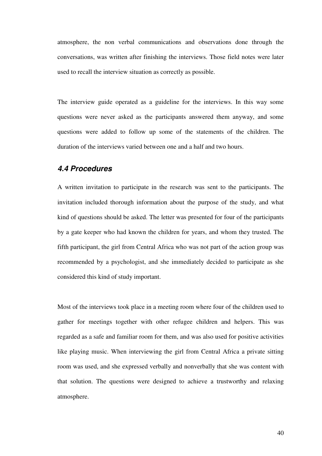atmosphere, the non verbal communications and observations done through the conversations, was written after finishing the interviews. Those field notes were later used to recall the interview situation as correctly as possible.

The interview guide operated as a guideline for the interviews. In this way some questions were never asked as the participants answered them anyway, and some questions were added to follow up some of the statements of the children. The duration of the interviews varied between one and a half and two hours.

### **4.4 Procedures**

A written invitation to participate in the research was sent to the participants. The invitation included thorough information about the purpose of the study, and what kind of questions should be asked. The letter was presented for four of the participants by a gate keeper who had known the children for years, and whom they trusted. The fifth participant, the girl from Central Africa who was not part of the action group was recommended by a psychologist, and she immediately decided to participate as she considered this kind of study important.

Most of the interviews took place in a meeting room where four of the children used to gather for meetings together with other refugee children and helpers. This was regarded as a safe and familiar room for them, and was also used for positive activities like playing music. When interviewing the girl from Central Africa a private sitting room was used, and she expressed verbally and nonverbally that she was content with that solution. The questions were designed to achieve a trustworthy and relaxing atmosphere.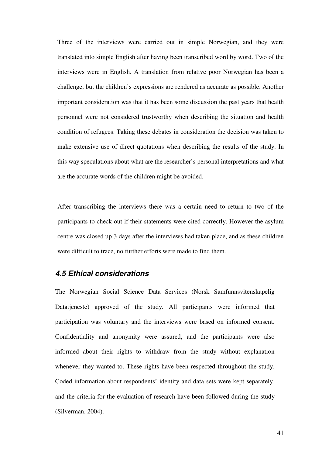Three of the interviews were carried out in simple Norwegian, and they were translated into simple English after having been transcribed word by word. Two of the interviews were in English. A translation from relative poor Norwegian has been a challenge, but the children's expressions are rendered as accurate as possible. Another important consideration was that it has been some discussion the past years that health personnel were not considered trustworthy when describing the situation and health condition of refugees. Taking these debates in consideration the decision was taken to make extensive use of direct quotations when describing the results of the study. In this way speculations about what are the researcher's personal interpretations and what are the accurate words of the children might be avoided.

After transcribing the interviews there was a certain need to return to two of the participants to check out if their statements were cited correctly. However the asylum centre was closed up 3 days after the interviews had taken place, and as these children were difficult to trace, no further efforts were made to find them.

# **4.5 Ethical considerations**

The Norwegian Social Science Data Services (Norsk Samfunnsvitenskapelig Datatjeneste) approved of the study. All participants were informed that participation was voluntary and the interviews were based on informed consent. Confidentiality and anonymity were assured, and the participants were also informed about their rights to withdraw from the study without explanation whenever they wanted to. These rights have been respected throughout the study. Coded information about respondents' identity and data sets were kept separately, and the criteria for the evaluation of research have been followed during the study (Silverman, 2004).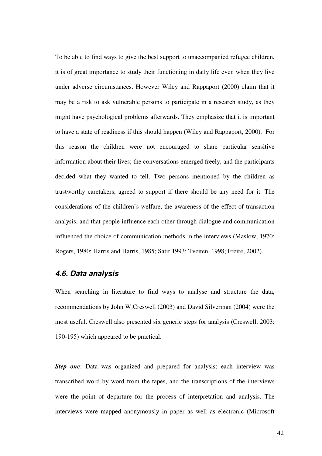To be able to find ways to give the best support to unaccompanied refugee children, it is of great importance to study their functioning in daily life even when they live under adverse circumstances. However Wiley and Rappaport (2000) claim that it may be a risk to ask vulnerable persons to participate in a research study, as they might have psychological problems afterwards. They emphasize that it is important to have a state of readiness if this should happen (Wiley and Rappaport, 2000). For this reason the children were not encouraged to share particular sensitive information about their lives; the conversations emerged freely, and the participants decided what they wanted to tell. Two persons mentioned by the children as trustworthy caretakers, agreed to support if there should be any need for it. The considerations of the children's welfare, the awareness of the effect of transaction analysis, and that people influence each other through dialogue and communication influenced the choice of communication methods in the interviews (Maslow, 1970; Rogers, 1980; Harris and Harris, 1985; Satir 1993; Tveiten, 1998; Freire, 2002).

#### **4.6. Data analysis**

When searching in literature to find ways to analyse and structure the data, recommendations by John W.Creswell (2003) and David Silverman (2004) were the most useful. Creswell also presented six generic steps for analysis (Creswell, 2003: 190-195) which appeared to be practical.

*Step one*: Data was organized and prepared for analysis; each interview was transcribed word by word from the tapes, and the transcriptions of the interviews were the point of departure for the process of interpretation and analysis. The interviews were mapped anonymously in paper as well as electronic (Microsoft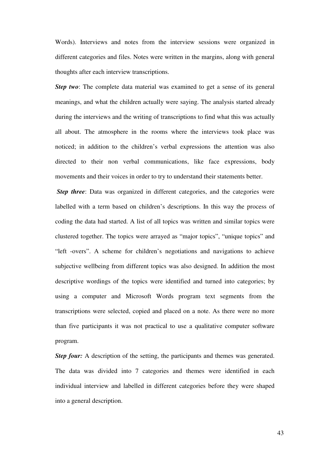Words). Interviews and notes from the interview sessions were organized in different categories and files. Notes were written in the margins, along with general thoughts after each interview transcriptions.

*Step two*: The complete data material was examined to get a sense of its general meanings, and what the children actually were saying. The analysis started already during the interviews and the writing of transcriptions to find what this was actually all about. The atmosphere in the rooms where the interviews took place was noticed; in addition to the children's verbal expressions the attention was also directed to their non verbal communications, like face expressions, body movements and their voices in order to try to understand their statements better.

*Step three*: Data was organized in different categories, and the categories were labelled with a term based on children's descriptions. In this way the process of coding the data had started. A list of all topics was written and similar topics were clustered together. The topics were arrayed as "major topics", "unique topics" and "left -overs". A scheme for children's negotiations and navigations to achieve subjective wellbeing from different topics was also designed. In addition the most descriptive wordings of the topics were identified and turned into categories; by using a computer and Microsoft Words program text segments from the transcriptions were selected, copied and placed on a note. As there were no more than five participants it was not practical to use a qualitative computer software program.

**Step four:** A description of the setting, the participants and themes was generated. The data was divided into 7 categories and themes were identified in each individual interview and labelled in different categories before they were shaped into a general description.

43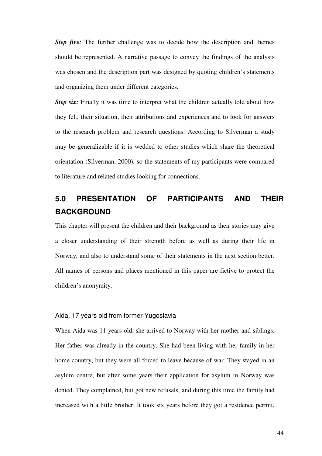*Step five:* The further challenge was to decide how the description and themes should be represented. A narrative passage to convey the findings of the analysis was chosen and the description part was designed by quoting children's statements and organizing them under different categories.

*Step six:* Finally it was time to interpret what the children actually told about how they felt, their situation, their attributions and experiences and to look for answers to the research problem and research questions. According to Silverman a study may be generalizable if it is wedded to other studies which share the theoretical orientation (Silverman, 2000), so the statements of my participants were compared to literature and related studies looking for connections.

# **5.0 PRESENTATION OF PARTICIPANTS AND THEIR BACKGROUND**

This chapter will present the children and their background as their stories may give a closer understanding of their strength before as well as during their life in Norway, and also to understand some of their statements in the next section better. All names of persons and places mentioned in this paper are fictive to protect the children's anonymity.

#### Aida, 17 years old from former Yugoslavia

When Aida was 11 years old, she arrived to Norway with her mother and siblings. Her father was already in the country. She had been living with her family in her home country, but they were all forced to leave because of war. They stayed in an asylum centre, but after some years their application for asylum in Norway was denied. They complained, but got new refusals, and during this time the family had increased with a little brother. It took six years before they got a residence permit,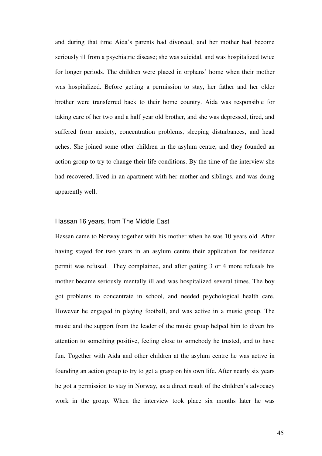and during that time Aida's parents had divorced, and her mother had become seriously ill from a psychiatric disease; she was suicidal, and was hospitalized twice for longer periods. The children were placed in orphans' home when their mother was hospitalized. Before getting a permission to stay, her father and her older brother were transferred back to their home country. Aida was responsible for taking care of her two and a half year old brother, and she was depressed, tired, and suffered from anxiety, concentration problems, sleeping disturbances, and head aches. She joined some other children in the asylum centre, and they founded an action group to try to change their life conditions. By the time of the interview she had recovered, lived in an apartment with her mother and siblings, and was doing apparently well.

#### Hassan 16 years, from The Middle East

Hassan came to Norway together with his mother when he was 10 years old. After having stayed for two years in an asylum centre their application for residence permit was refused. They complained, and after getting 3 or 4 more refusals his mother became seriously mentally ill and was hospitalized several times. The boy got problems to concentrate in school, and needed psychological health care. However he engaged in playing football, and was active in a music group. The music and the support from the leader of the music group helped him to divert his attention to something positive, feeling close to somebody he trusted, and to have fun. Together with Aida and other children at the asylum centre he was active in founding an action group to try to get a grasp on his own life. After nearly six years he got a permission to stay in Norway, as a direct result of the children's advocacy work in the group. When the interview took place six months later he was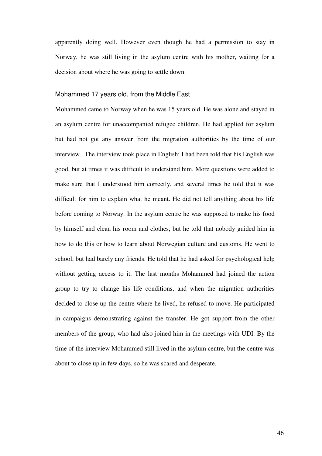apparently doing well. However even though he had a permission to stay in Norway, he was still living in the asylum centre with his mother, waiting for a decision about where he was going to settle down.

#### Mohammed 17 years old, from the Middle East

Mohammed came to Norway when he was 15 years old. He was alone and stayed in an asylum centre for unaccompanied refugee children. He had applied for asylum but had not got any answer from the migration authorities by the time of our interview. The interview took place in English; I had been told that his English was good, but at times it was difficult to understand him. More questions were added to make sure that I understood him correctly, and several times he told that it was difficult for him to explain what he meant. He did not tell anything about his life before coming to Norway. In the asylum centre he was supposed to make his food by himself and clean his room and clothes, but he told that nobody guided him in how to do this or how to learn about Norwegian culture and customs. He went to school, but had barely any friends. He told that he had asked for psychological help without getting access to it. The last months Mohammed had joined the action group to try to change his life conditions, and when the migration authorities decided to close up the centre where he lived, he refused to move. He participated in campaigns demonstrating against the transfer. He got support from the other members of the group, who had also joined him in the meetings with UDI. By the time of the interview Mohammed still lived in the asylum centre, but the centre was about to close up in few days, so he was scared and desperate.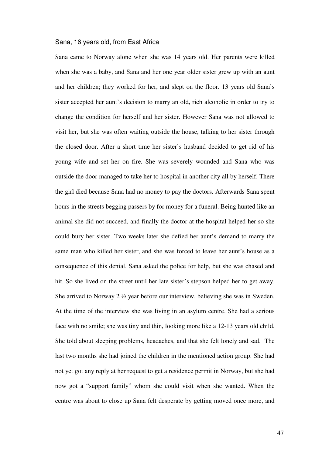#### Sana, 16 years old, from East Africa

Sana came to Norway alone when she was 14 years old. Her parents were killed when she was a baby, and Sana and her one year older sister grew up with an aunt and her children; they worked for her, and slept on the floor. 13 years old Sana's sister accepted her aunt's decision to marry an old, rich alcoholic in order to try to change the condition for herself and her sister. However Sana was not allowed to visit her, but she was often waiting outside the house, talking to her sister through the closed door. After a short time her sister's husband decided to get rid of his young wife and set her on fire. She was severely wounded and Sana who was outside the door managed to take her to hospital in another city all by herself. There the girl died because Sana had no money to pay the doctors. Afterwards Sana spent hours in the streets begging passers by for money for a funeral. Being hunted like an animal she did not succeed, and finally the doctor at the hospital helped her so she could bury her sister. Two weeks later she defied her aunt's demand to marry the same man who killed her sister, and she was forced to leave her aunt's house as a consequence of this denial. Sana asked the police for help, but she was chased and hit. So she lived on the street until her late sister's stepson helped her to get away. She arrived to Norway  $2 \frac{1}{2}$  year before our interview, believing she was in Sweden. At the time of the interview she was living in an asylum centre. She had a serious face with no smile; she was tiny and thin, looking more like a 12-13 years old child. She told about sleeping problems, headaches, and that she felt lonely and sad. The last two months she had joined the children in the mentioned action group. She had not yet got any reply at her request to get a residence permit in Norway, but she had now got a "support family" whom she could visit when she wanted. When the centre was about to close up Sana felt desperate by getting moved once more, and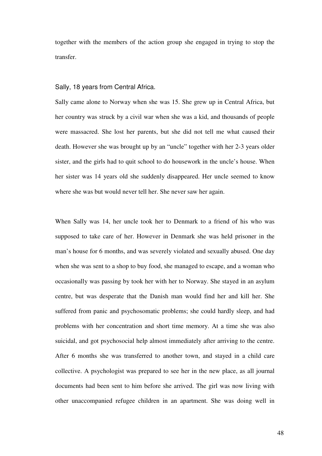together with the members of the action group she engaged in trying to stop the transfer.

#### Sally, 18 years from Central Africa.

Sally came alone to Norway when she was 15. She grew up in Central Africa, but her country was struck by a civil war when she was a kid, and thousands of people were massacred. She lost her parents, but she did not tell me what caused their death. However she was brought up by an "uncle" together with her 2-3 years older sister, and the girls had to quit school to do housework in the uncle's house. When her sister was 14 years old she suddenly disappeared. Her uncle seemed to know where she was but would never tell her. She never saw her again.

When Sally was 14, her uncle took her to Denmark to a friend of his who was supposed to take care of her. However in Denmark she was held prisoner in the man's house for 6 months, and was severely violated and sexually abused. One day when she was sent to a shop to buy food, she managed to escape, and a woman who occasionally was passing by took her with her to Norway. She stayed in an asylum centre, but was desperate that the Danish man would find her and kill her. She suffered from panic and psychosomatic problems; she could hardly sleep, and had problems with her concentration and short time memory. At a time she was also suicidal, and got psychosocial help almost immediately after arriving to the centre. After 6 months she was transferred to another town, and stayed in a child care collective. A psychologist was prepared to see her in the new place, as all journal documents had been sent to him before she arrived. The girl was now living with other unaccompanied refugee children in an apartment. She was doing well in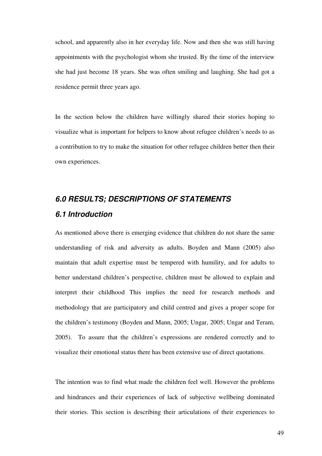school, and apparently also in her everyday life. Now and then she was still having appointments with the psychologist whom she trusted. By the time of the interview she had just become 18 years. She was often smiling and laughing. She had got a residence permit three years ago.

In the section below the children have willingly shared their stories hoping to visualize what is important for helpers to know about refugee children's needs to as a contribution to try to make the situation for other refugee children better then their own experiences.

# **6.0 RESULTS; DESCRIPTIONS OF STATEMENTS 6.1 Introduction**

As mentioned above there is emerging evidence that children do not share the same understanding of risk and adversity as adults. Boyden and Mann (2005) also maintain that adult expertise must be tempered with humility, and for adults to better understand children's perspective, children must be allowed to explain and interpret their childhood This implies the need for research methods and methodology that are participatory and child centred and gives a proper scope for the children's testimony (Boyden and Mann, 2005; Ungar, 2005; Ungar and Teram, 2005). To assure that the children's expressions are rendered correctly and to visualize their emotional status there has been extensive use of direct quotations.

The intention was to find what made the children feel well. However the problems and hindrances and their experiences of lack of subjective wellbeing dominated their stories. This section is describing their articulations of their experiences to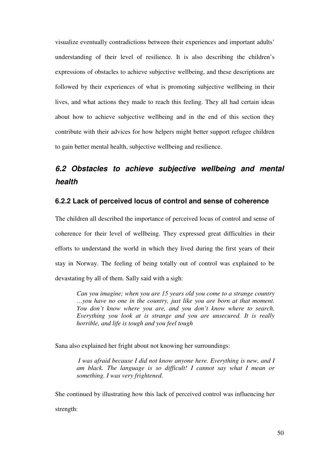visualize eventually contradictions between their experiences and important adults' understanding of their level of resilience. It is also describing the children's expressions of obstacles to achieve subjective wellbeing, and these descriptions are followed by their experiences of what is promoting subjective wellbeing in their lives, and what actions they made to reach this feeling. They all had certain ideas about how to achieve subjective wellbeing and in the end of this section they contribute with their advices for how helpers might better support refugee children to gain better mental health, subjective wellbeing and resilience.

# **6.2 Obstacles to achieve subjective wellbeing and mental health**

#### **6.2.2 Lack of perceived locus of control and sense of coherence**

The children all described the importance of perceived locus of control and sense of coherence for their level of wellbeing. They expressed great difficulties in their efforts to understand the world in which they lived during the first years of their stay in Norway. The feeling of being totally out of control was explained to be devastating by all of them. Sally said with a sigh:

*Can you imagine; when you are 15 years old you come to a strange country …you have no one in the country, just like you are born at that moment. You don't know where you are, and you don't know where to search. Everything you look at is strange and you are unsecured. It is really horrible, and life is tough and you feel tough*

Sana also explained her fright about not knowing her surroundings:

*I was afraid because I did not know anyone here. Everything is new, and I am black. The language is so difficult! I cannot say what I mean or something. I was very frightened.* 

She continued by illustrating how this lack of perceived control was influencing her strength: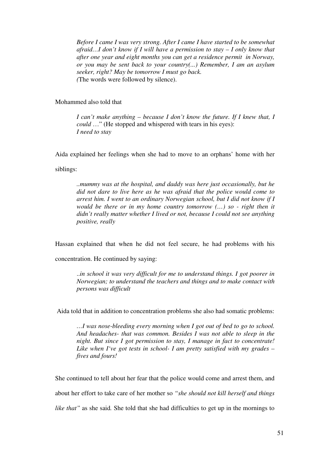*Before I came I was very strong. After I came I have started to be somewhat afraid…I don't know if I will have a permission to stay – I only know that after one year and eight months you can get a residence permit in Norway, or you may be sent back to your country(...) Remember, I am an asylum seeker, right? May be tomorrow I must go back. (*The words were followed by silence).

Mohammed also told that

*I can't make anything – because I don't know the future. If I knew that, I could* …" (He stopped and whispered with tears in his eyes): *I need to stay*

Aida explained her feelings when she had to move to an orphans' home with her

siblings:

*..mummy was at the hospital, and daddy was here just occasionally, but he did not dare to live here as he was afraid that the police would come to arrest him. I went to an ordinary Norwegian school, but I did not know if I would be there or in my home country tomorrow (…) so - right then it didn't really matter whether I lived or not, because I could not see anything positive, really* 

Hassan explained that when he did not feel secure, he had problems with his

concentration. He continued by saying:

..*in school it was very difficult for me to understand things. I got poorer in Norwegian; to understand the teachers and things and to make contact with persons was difficult* 

Aida told that in addition to concentration problems she also had somatic problems:

*…I was nose-bleeding every morning when I got out of bed to go to school. And headaches- that was common. Besides I was not able to sleep in the night. But since I got permission to stay, I manage in fact to concentrate! Like when I've got tests in school- I am pretty satisfied with my grades – fives and fours!* 

She continued to tell about her fear that the police would come and arrest them, and about her effort to take care of her mother so *"she should not kill herself and things like that*" as she said. She told that she had difficulties to get up in the mornings to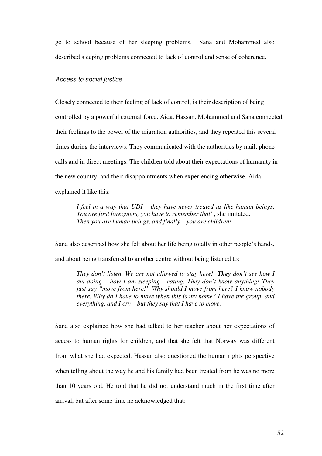go to school because of her sleeping problems. Sana and Mohammed also described sleeping problems connected to lack of control and sense of coherence.

#### Access to social justice

Closely connected to their feeling of lack of control, is their description of being controlled by a powerful external force. Aida, Hassan, Mohammed and Sana connected their feelings to the power of the migration authorities, and they repeated this several times during the interviews. They communicated with the authorities by mail, phone calls and in direct meetings. The children told about their expectations of humanity in the new country, and their disappointments when experiencing otherwise. Aida explained it like this:

*I feel in a way that UDI – they have never treated us like human beings. You are first foreigners, you have to remember that"*, she imitated. *Then you are human beings, and finally – you are children!* 

Sana also described how she felt about her life being totally in other people's hands, and about being transferred to another centre without being listened to:

*They don't listen*. *We are not allowed to stay here! They don't see how I am doing – how I am sleeping - eating. They don't know anything! They just say "move from here!" Why should I move from here? I know nobody there. Why do I have to move when this is my home? I have the group, and everything, and I cry – but they say that I have to move.* 

Sana also explained how she had talked to her teacher about her expectations of access to human rights for children, and that she felt that Norway was different from what she had expected. Hassan also questioned the human rights perspective when telling about the way he and his family had been treated from he was no more than 10 years old. He told that he did not understand much in the first time after arrival, but after some time he acknowledged that: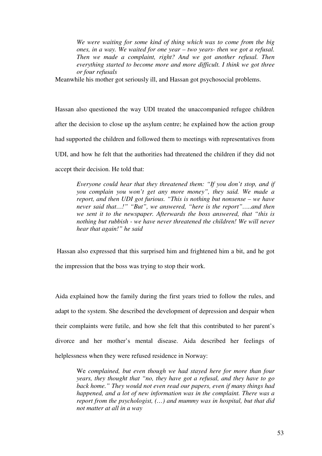*We were waiting for some kind of thing which was to come from the big ones, in a way. We waited for one year – two years- then we got a refusal. Then we made a complaint, right? And we got another refusal. Then everything started to become more and more difficult. I think we got three or four refusals*

Meanwhile his mother got seriously ill, and Hassan got psychosocial problems.

Hassan also questioned the way UDI treated the unaccompanied refugee children after the decision to close up the asylum centre; he explained how the action group had supported the children and followed them to meetings with representatives from UDI, and how he felt that the authorities had threatened the children if they did not accept their decision. He told that:

*Everyone could hear that they threatened them: "If you don't stop, and if you complain you won't get any more money", they said. We made a report, and then UDI got furious. "This is nothing but nonsense – we have never said that…!" "But", we answered, "here is the report"…..and then we sent it to the newspaper. Afterwards the boss answered, that "this is nothing but rubbish - we have never threatened the children! We will never hear that again!" he said* 

Hassan also expressed that this surprised him and frightened him a bit, and he got the impression that the boss was trying to stop their work.

Aida explained how the family during the first years tried to follow the rules, and adapt to the system. She described the development of depression and despair when their complaints were futile, and how she felt that this contributed to her parent's divorce and her mother's mental disease. Aida described her feelings of helplessness when they were refused residence in Norway:

We *complained, but even though we had stayed here for more than four years, they thought that "no, they have got a refusal, and they have to go back home." They would not even read our papers, even if many things had happened, and a lot of new information was in the complaint. There was a report from the psychologist, (…) and mummy was in hospital, but that did not matter at all in a way*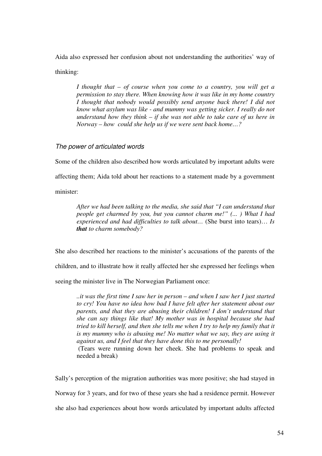Aida also expressed her confusion about not understanding the authorities' way of thinking:

*I thought that – of course when you come to a country, you will get a permission to stay there. When knowing how it was like in my home country I thought that nobody would possibly send anyone back there! I did not know what asylum was like - and mummy was getting sicker. I really do not understand how they think – if she was not able to take care of us here in Norway – how could she help us if we were sent back home…?* 

#### The power of articulated words

Some of the children also described how words articulated by important adults were

affecting them; Aida told about her reactions to a statement made by a government

minister:

*After we had been talking to the media, she said that "I can understand that people get charmed by you, but you cannot charm me!" (... ) What I had experienced and had difficulties to talk about…* (She burst into tears)… *Is that to charm somebody?* 

She also described her reactions to the minister's accusations of the parents of the children, and to illustrate how it really affected her she expressed her feelings when seeing the minister live in The Norwegian Parliament once:

*..it was the first time I saw her in person – and when I saw her I just started to cry! You have no idea how bad I have felt after her statement about our parents, and that they are abusing their children! I don't understand that she can say things like that! My mother was in hospital because she had tried to kill herself, and then she tells me when I try to help my family that it is my mummy who is abusing me! No matter what we say, they are using it against us, and I feel that they have done this to me personally!* 

 (Tears were running down her cheek. She had problems to speak and needed a break)

Sally's perception of the migration authorities was more positive; she had stayed in

Norway for 3 years, and for two of these years she had a residence permit. However

she also had experiences about how words articulated by important adults affected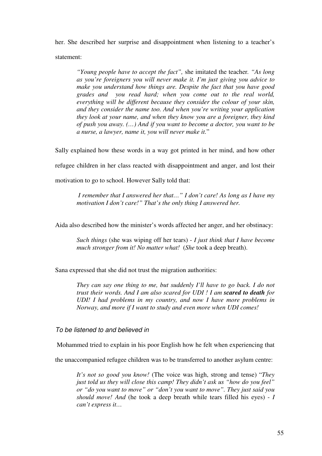her. She described her surprise and disappointment when listening to a teacher's statement:

*"Young people have to accept the fact",* she imitated the teacher*. "As long as you're foreigners you will never make it. I'm just giving you advice to make you understand how things are. Despite the fact that you have good grades and you read hard; when you come out to the real world, everything will be different because they consider the colour of your skin, and they consider the name too. And when you're writing your application they look at your name, and when they know you are a foreigner, they kind of push you away. (…) And if you want to become a doctor, you want to be a nurse, a lawyer, name it, you will never make it.*"

Sally explained how these words in a way got printed in her mind, and how other

refugee children in her class reacted with disappointment and anger, and lost their

motivation to go to school. However Sally told that:

 *I remember that I answered her that…" I don't care! As long as I have my motivation I don't care!" That's the only thing I answered her.* 

Aida also described how the minister's words affected her anger, and her obstinacy:

*Such things* (she was wiping off her tears) - *I just think that I have become much stronger from it! No matter what!* (*She* took a deep breath).

Sana expressed that she did not trust the migration authorities:

*They can say one thing to me, but suddenly I'll have to go back. I do not trust their words. And I am also scared for UDI ! I am scared to death for UDI! I had problems in my country, and now I have more problems in Norway, and more if I want to study and even more when UDI comes!* 

To be listened to and believed in

Mohammed tried to explain in his poor English how he felt when experiencing that

the unaccompanied refugee children was to be transferred to another asylum centre:

*It's not so good you know!* (The voice was high, strong and tense) "*They just told us they will close this camp! They didn't ask us "how do you feel" or "do you want to move" or "don't you want to move". They just said you should move! And* (he took a deep breath while tears filled his eyes) - *I can't express it…*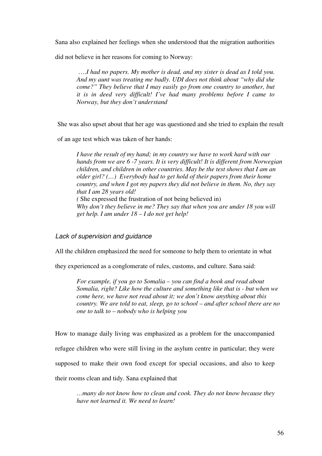Sana also explained her feelings when she understood that the migration authorities

did not believe in her reasons for coming to Norway:

 ….*I had no papers. My mother is dead, and my sister is dead as I told you. And my aunt was treating me badly. UDI does not think about "why did she come?" They believe that I may easily go from one country to another, but it is in deed very difficult! I've had many problems before I came to Norway, but they don't understand* 

She was also upset about that her age was questioned and she tried to explain the result

of an age test which was taken of her hands:

*I have the result of my hand; in my country we have to work hard with our hands from we are 6 -7 years. It is very difficult! It is different from Norwegian children, and children in other countries. May be the test shows that I am an older girl? (…) Everybody had to get hold of their papers from their home country, and when I got my papers they did not believe in them. No, they say that I am 28 years old! (* She expressed the frustration of not being believed in) *Why don't they believe in me? They say that when you are under 18 you will get help. I am under 18 – I do not get help!* 

Lack of supervision and guidance

All the children emphasized the need for someone to help them to orientate in what

they experienced as a conglomerate of rules, customs, and culture. Sana said:

*For example, if you go to Somalia – you can find a book and read about Somalia, right? Like how the culture and something like that is - but when we come here, we have not read about it; we don't know anything about this country. We are told to eat, sleep, go to school – and after school there are no one to talk to – nobody who is helping you* 

How to manage daily living was emphasized as a problem for the unaccompanied refugee children who were still living in the asylum centre in particular; they were supposed to make their own food except for special occasions, and also to keep their rooms clean and tidy. Sana explained that

*…many do not know how to clean and cook. They do not know because they have not learned it. We need to learn!*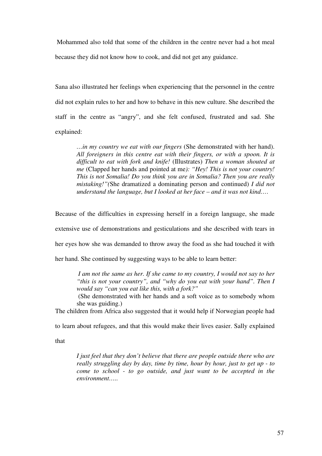Mohammed also told that some of the children in the centre never had a hot meal because they did not know how to cook, and did not get any guidance.

Sana also illustrated her feelings when experiencing that the personnel in the centre did not explain rules to her and how to behave in this new culture. She described the staff in the centre as "angry", and she felt confused, frustrated and sad. She explained:

*…in my country we eat with our fingers* (She demonstrated with her hand). *All foreigners in this centre eat with their fingers, or with a spoon. It is difficult to eat with fork and knife!* (Illustrates) *Then a woman shouted at me* (Clapped her hands and pointed at me*): "Hey! This is not your country! This is not Somalia! Do you think you are in Somalia? Then you are really mistaking!"(*She dramatized a dominating person and continued) *I did not understand the language, but I looked at her face – and it was not kind…*.

Because of the difficulties in expressing herself in a foreign language, she made extensive use of demonstrations and gesticulations and she described with tears in her eyes how she was demanded to throw away the food as she had touched it with her hand. She continued by suggesting ways to be able to learn better:

*I am not the same as her. If she came to my country, I would not say to her "this is not your country", and "why do you eat with your hand". Then I would say "can you eat like this, with a fork?"* 

(She demonstrated with her hands and a soft voice as to somebody whom she was guiding.)

The children from Africa also suggested that it would help if Norwegian people had

to learn about refugees, and that this would make their lives easier. Sally explained

that

*I just feel that they don't believe that there are people outside there who are really struggling day by day, time by time, hour by hour, just to get up - to come to school - to go outside, and just want to be accepted in the environment…..*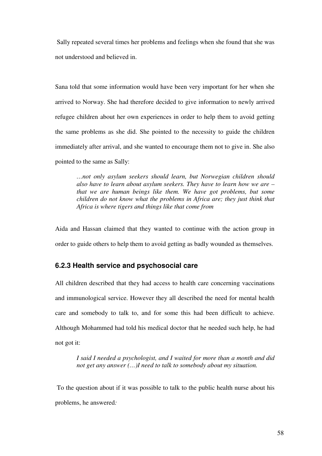Sally repeated several times her problems and feelings when she found that she was not understood and believed in.

Sana told that some information would have been very important for her when she arrived to Norway. She had therefore decided to give information to newly arrived refugee children about her own experiences in order to help them to avoid getting the same problems as she did. She pointed to the necessity to guide the children immediately after arrival, and she wanted to encourage them not to give in. She also pointed to the same as Sally:

*…not only asylum seekers should learn, but Norwegian children should also have to learn about asylum seekers. They have to learn how we are – that we are human beings like them. We have got problems, but some children do not know what the problems in Africa are; they just think that Africa is where tigers and things like that come from* 

Aida and Hassan claimed that they wanted to continue with the action group in order to guide others to help them to avoid getting as badly wounded as themselves.

### **6.2.3 Health service and psychosocial care**

All children described that they had access to health care concerning vaccinations and immunological service. However they all described the need for mental health care and somebody to talk to, and for some this had been difficult to achieve. Although Mohammed had told his medical doctor that he needed such help, he had not got it:

*I said I needed a psychologist, and I waited for more than a month and did not get any answer (…)I need to talk to somebody about my situation.* 

 To the question about if it was possible to talk to the public health nurse about his problems, he answered*:*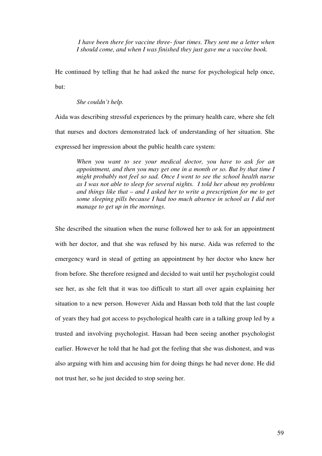*I have been there for vaccine three- four times. They sent me a letter when I should come, and when I was finished they just gave me a vaccine book.*

He continued by telling that he had asked the nurse for psychological help once, but:

*She couldn't help.* 

Aida was describing stressful experiences by the primary health care, where she felt that nurses and doctors demonstrated lack of understanding of her situation. She expressed her impression about the public health care system:

*When you want to see your medical doctor, you have to ask for an appointment, and then you may get one in a month or so. But by that time I might probably not feel so sad. Once I went to see the school health nurse as I was not able to sleep for several nights. I told her about my problems and things like that – and I asked her to write a prescription for me to get some sleeping pills because I had too much absence in school as I did not manage to get up in the mornings.* 

She described the situation when the nurse followed her to ask for an appointment with her doctor, and that she was refused by his nurse. Aida was referred to the emergency ward in stead of getting an appointment by her doctor who knew her from before. She therefore resigned and decided to wait until her psychologist could see her, as she felt that it was too difficult to start all over again explaining her situation to a new person. However Aida and Hassan both told that the last couple of years they had got access to psychological health care in a talking group led by a trusted and involving psychologist. Hassan had been seeing another psychologist earlier. However he told that he had got the feeling that she was dishonest, and was also arguing with him and accusing him for doing things he had never done. He did not trust her, so he just decided to stop seeing her.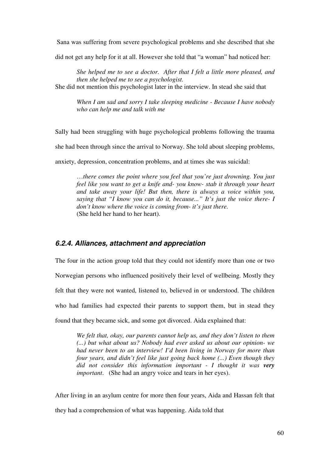Sana was suffering from severe psychological problems and she described that she

did not get any help for it at all. However she told that "a woman" had noticed her:

*She helped me to see a doctor. After that I felt a little more pleased, and then she helped me to see a psychologist.* She did not mention this psychologist later in the interview. In stead she said that

*When I am sad and sorry I take sleeping medicine - Because I have nobody who can help me and talk with me* 

Sally had been struggling with huge psychological problems following the trauma she had been through since the arrival to Norway. She told about sleeping problems, anxiety, depression, concentration problems, and at times she was suicidal:

…*there comes the point where you feel that you're just drowning. You just feel like you want to get a knife and- you know- stab it through your heart and take away your life! But then, there is always a voice within you, saying that "I know you can do it, because..." It's just the voice there- I don't know where the voice is coming from- it's just there.*  (She held her hand to her heart).

# **6.2.4. Alliances, attachment and appreciation**

The four in the action group told that they could not identify more than one or two Norwegian persons who influenced positively their level of wellbeing. Mostly they felt that they were not wanted, listened to, believed in or understood. The children who had families had expected their parents to support them, but in stead they found that they became sick, and some got divorced. Aida explained that:

*We felt that, okay, our parents cannot help us, and they don't listen to them (...) but what about us? Nobody had ever asked us about our opinion- we had never been to an interview! I'd been living in Norway for more than four years, and didn't feel like just going back home (...) Even though they did not consider this information important - I thought it was very important*. (She had an angry voice and tears in her eyes).

After living in an asylum centre for more then four years, Aida and Hassan felt that they had a comprehension of what was happening. Aida told that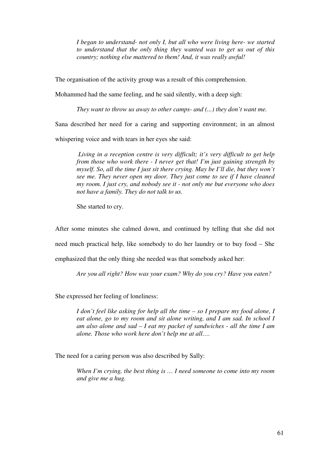*I began to understand- not only I, but all who were living here- we started to understand that the only thing they wanted was to get us out of this country; nothing else mattered to them! And, it was really awful!*

The organisation of the activity group was a result of this comprehension.

Mohammed had the same feeling, and he said silently, with a deep sigh:

*They want to throw us away to other camps- and (...) they don't want me.*

Sana described her need for a caring and supporting environment; in an almost

whispering voice and with tears in her eyes she said:

 *Living in a reception centre is very difficult; it's very difficult to get help from those who work there - I never get that! I'm just gaining strength by myself. So, all the time I just sit there crying. May be I'll die, but they won't see me. They never open my door. They just come to see if I have cleaned my room. I just cry, and nobody see it - not only me but everyone who does not have a family. They do not talk to us.* 

She started to cry.

After some minutes she calmed down, and continued by telling that she did not need much practical help, like somebody to do her laundry or to buy food – She emphasized that the only thing she needed was that somebody asked her:

*Are you all right? How was your exam? Why do you cry? Have you eaten?* 

She expressed her feeling of loneliness:

*I don't feel like asking for help all the time – so I prepare my food alone, I eat alone, go to my room and sit alone writing, and I am sad. In school I am also alone and sad – I eat my packet of sandwiches - all the time I am alone. Those who work here don't help me at all….* 

The need for a caring person was also described by Sally:

*When I'm crying, the best thing is … I need someone to come into my room and give me a hug.*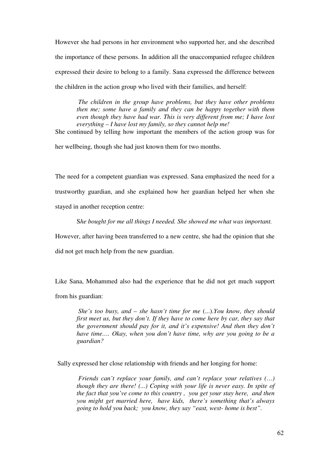However she had persons in her environment who supported her, and she described the importance of these persons. In addition all the unaccompanied refugee children expressed their desire to belong to a family. Sana expressed the difference between the children in the action group who lived with their families, and herself:

 *The children in the group have problems, but they have other problems then me; some have a family and they can be happy together with them even though they have had war. This is very different from me; I have lost everything – I have lost my family, so they cannot help me!*

She continued by telling how important the members of the action group was for her wellbeing, though she had just known them for two months.

The need for a competent guardian was expressed. Sana emphasized the need for a trustworthy guardian, and she explained how her guardian helped her when she stayed in another reception centre:

S*he bought for me all things I needed. She showed me what was important.* 

However, after having been transferred to a new centre, she had the opinion that she

did not get much help from the new guardian.

Like Sana, Mohammed also had the experience that he did not get much support

from his guardian:

 *She's too busy, and – she hasn't time for me* (...).*You know, they should first meet us, but they don't. If they have to come here by car, they say that the government should pay for it, and it's expensive! And then they don't have time…. Okay, when you don't have time, why are you going to be a guardian?*

Sally expressed her close relationship with friends and her longing for home:

*Friends can't replace your family, and can't replace your relatives (…) though they are there! (...) Coping with your life is never easy. In spite of the fact that you've come to this country , you get your stay here, and then you might get married here, have kids, there's something that's always going to hold you back; you know, they say "east, west- home is best".*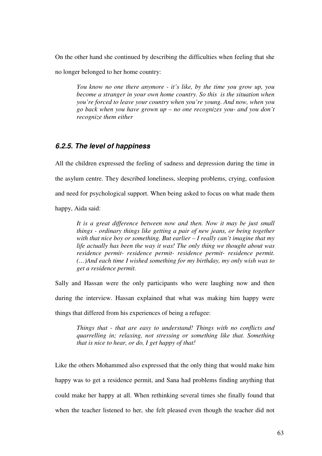On the other hand she continued by describing the difficulties when feeling that she no longer belonged to her home country:

*You know no one there anymore - it's like, by the time you grow up, you become a stranger in your own home country. So this is the situation when you're forced to leave your country when you're young. And now, when you go back when you have grown up – no one recognizes you- and you don't recognize them either* 

# **6.2.5. The level of happiness**

All the children expressed the feeling of sadness and depression during the time in the asylum centre. They described loneliness, sleeping problems, crying, confusion and need for psychological support. When being asked to focus on what made them happy, Aida said:

*It is a great difference between now and then. Now it may be just small things - ordinary things like getting a pair of new jeans, or being together with that nice boy or something. But earlier – I really can't imagine that my life actually has been the way it was! The only thing we thought about was residence permit- residence permit- residence permit- residence permit. (…)And each time I wished something for my birthday, my only wish was to get a residence permit.* 

Sally and Hassan were the only participants who were laughing now and then during the interview. Hassan explained that what was making him happy were things that differed from his experiences of being a refugee:

*Things that - that are easy to understand! Things with no conflicts and quarrelling in; relaxing, not stressing or something like that. Something that is nice to hear, or do, I get happy of that!* 

Like the others Mohammed also expressed that the only thing that would make him happy was to get a residence permit, and Sana had problems finding anything that could make her happy at all. When rethinking several times she finally found that when the teacher listened to her, she felt pleased even though the teacher did not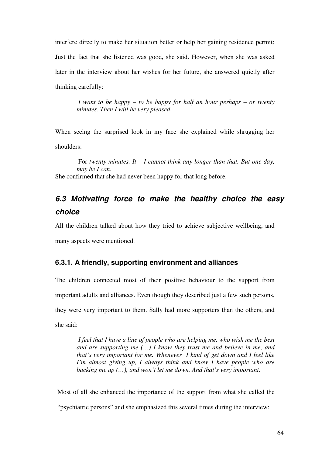interfere directly to make her situation better or help her gaining residence permit; Just the fact that she listened was good, she said. However, when she was asked later in the interview about her wishes for her future, she answered quietly after thinking carefully:

*I want to be happy – to be happy for half an hour perhaps – or twenty minutes. Then I will be very pleased.* 

When seeing the surprised look in my face she explained while shrugging her shoulders:

 For *twenty minutes. It – I cannot think any longer than that. But one day, may be I can.*  She confirmed that she had never been happy for that long before.

# **6.3 Motivating force to make the healthy choice the easy choice**

All the children talked about how they tried to achieve subjective wellbeing, and many aspects were mentioned.

# **6.3.1. A friendly, supporting environment and alliances**

The children connected most of their positive behaviour to the support from important adults and alliances. Even though they described just a few such persons, they were very important to them. Sally had more supporters than the others, and she said:

*I feel that I have a line of people who are helping me, who wish me the best and are supporting me (…) I know they trust me and believe in me, and that's very important for me. Whenever I kind of get down and I feel like I'm almost giving up, I always think and know I have people who are backing me up (…), and won't let me down. And that's very important.* 

Most of all she enhanced the importance of the support from what she called the "psychiatric persons" and she emphasized this several times during the interview: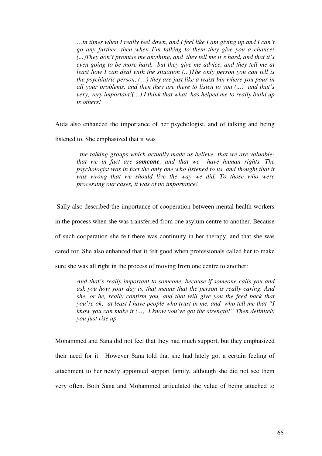*…in times when I really feel down, and I feel like I am giving up and I can't go any further, then when I'm talking to them they give you a chance! (...)They don't promise me anything, and they tell me it's hard, and that it's even going to be more hard, but they give me advice, and they tell me at least how I can deal with the situation (...)The only person you can tell is the psychiatric person, (…) they are just like a waist bin where you pour in all your problems, and then they are there to listen to you (...) and that's very, very important!(…) I think that what has helped me to really build up is others!* 

Aida also enhanced the importance of her psychologist, and of talking and being

listened to. She emphasized that it was

*..the talking groups which actually made us believe that we are valuablethat we in fact are someone, and that we have human rights. The psychologist was in fact the only one who listened to us, and thought that it was wrong that we should live the way we did. To those who were processing our cases, it was of no importance!* 

 Sally also described the importance of cooperation between mental health workers in the process when she was transferred from one asylum centre to another. Because of such cooperation she felt there was continuity in her therapy, and that she was cared for. She also enhanced that it felt good when professionals called her to make sure she was all right in the process of moving from one centre to another:

*And that's really important to someone, because if someone calls you and ask you how your day is, that means that the person is really caring. And she, or he, really confirm you, and that will give you the feed back that you're ok; at least I have people who trust in me, and who tell me that "I know you can make it (...) I know you've got the strength!" Then definitely you just rise up.* 

Mohammed and Sana did not feel that they had much support, but they emphasized their need for it. However Sana told that she had lately got a certain feeling of attachment to her newly appointed support family, although she did not see them very often. Both Sana and Mohammed articulated the value of being attached to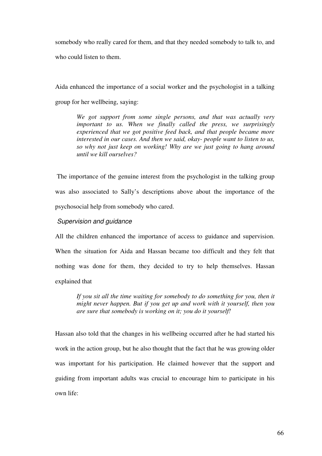somebody who really cared for them, and that they needed somebody to talk to, and who could listen to them.

Aida enhanced the importance of a social worker and the psychologist in a talking group for her wellbeing, saying:

*We got support from some single persons, and that was actually very important to us. When we finally called the press, we surprisingly experienced that we got positive feed back, and that people became more interested in our cases. And then we said, okay- people want to listen to us, so why not just keep on working! Why are we just going to hang around until we kill ourselves?* 

 The importance of the genuine interest from the psychologist in the talking group was also associated to Sally's descriptions above about the importance of the psychosocial help from somebody who cared.

#### Supervision and guidance

All the children enhanced the importance of access to guidance and supervision.

When the situation for Aida and Hassan became too difficult and they felt that nothing was done for them, they decided to try to help themselves. Hassan explained that

*If you sit all the time waiting for somebody to do something for you, then it might never happen. But if you get up and work with it yourself, then you are sure that somebody is working on it; you do it yourself!* 

Hassan also told that the changes in his wellbeing occurred after he had started his work in the action group, but he also thought that the fact that he was growing older was important for his participation. He claimed however that the support and guiding from important adults was crucial to encourage him to participate in his own life: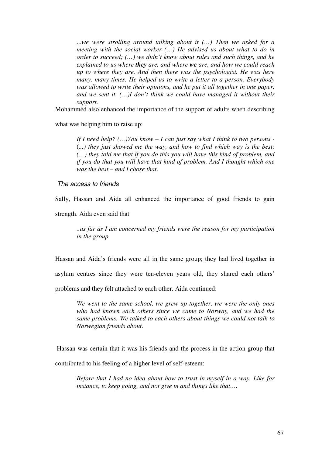...*we were strolling around talking about it (…) Then we asked for a meeting with the social worker (…) He advised us about what to do in order to succeed; (…) we didn't know about rules and such things, and he explained to us where they are, and where we are, and how we could reach up to where they are. And then there was the psychologist. He was here many, many times. He helped us to write a letter to a person. Everybody was allowed to write their opinions, and he put it all together in one paper, and we sent it. (…)I don't think we could have managed it without their support.* 

Mohammed also enhanced the importance of the support of adults when describing

what was helping him to raise up:

*If I need help? (…)You know – I can just say what I think to two persons -*  (*...) they just showed me the way, and how to find which way is the best; (…) they told me that if you do this you will have this kind of problem, and if you do that you will have that kind of problem. And I thought which one was the best – and I chose that*.

The access to friends

Sally, Hassan and Aida all enhanced the importance of good friends to gain

strength. Aida even said that

*..as far as I am concerned my friends were the reason for my participation in the group.* 

Hassan and Aida's friends were all in the same group; they had lived together in

asylum centres since they were ten-eleven years old, they shared each others'

problems and they felt attached to each other. Aida continued:

*We went to the same school, we grew up together, we were the only ones who had known each others since we came to Norway, and we had the same problems. We talked to each others about things we could not talk to Norwegian friends about*.

 Hassan was certain that it was his friends and the process in the action group that contributed to his feeling of a higher level of self-esteem:

*Before that I had no idea about how to trust in myself in a way. Like for instance, to keep going, and not give in and things like that….*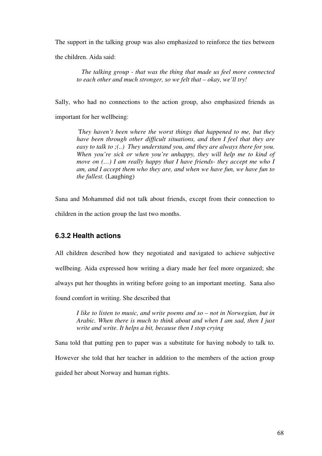The support in the talking group was also emphasized to reinforce the ties between

the children. Aida said:

 *The talking group - that was the thing that made us feel more connected to each other and much stronger, so we felt that – okay, we'll try!* 

Sally, who had no connections to the action group, also emphasized friends as important for her wellbeing:

 T*hey haven't been where the worst things that happened to me, but they have been through other difficult situations, and then I feel that they are easy to talk to ;(..) They understand you, and they are always there for you. When you're sick or when you're unhappy, they will help me to kind of move on (…) I am really happy that I have friends- they accept me who I am, and I accept them who they are, and when we have fun, we have fun to the fullest.* (Laughing)

Sana and Mohammed did not talk about friends, except from their connection to children in the action group the last two months.

# **6.3.2 Health actions**

All children described how they negotiated and navigated to achieve subjective wellbeing. Aida expressed how writing a diary made her feel more organized; she always put her thoughts in writing before going to an important meeting. Sana also found comfort in writing. She described that

*I like to listen to music, and write poems and so – not in Norwegian, but in Arabic. When there is much to think about and when I am sad, then I just write and write. It helps a bit, because then I stop crying* 

Sana told that putting pen to paper was a substitute for having nobody to talk to. However she told that her teacher in addition to the members of the action group guided her about Norway and human rights.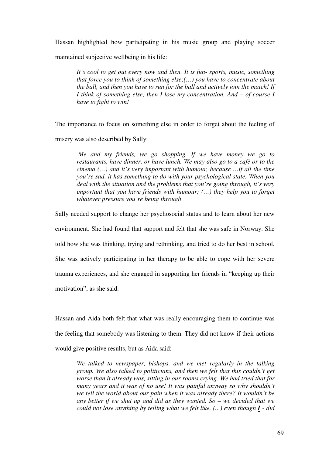Hassan highlighted how participating in his music group and playing soccer maintained subjective wellbeing in his life:

*It's cool to get out every now and then. It is fun- sports, music, something that force you to think of something else;(…) you have to concentrate about the ball, and then you have to run for the ball and actively join the match! If I think of something else, then I lose my concentration. And – of course I have to fight to win!*

The importance to focus on something else in order to forget about the feeling of misery was also described by Sally:

 *Me and my friends, we go shopping. If we have money we go to restaurants, have dinner, or have lunch. We may also go to a café or to the cinema (…) and it's very important with humour, because …if all the time you're sad, it has something to do with your psychological state. When you deal with the situation and the problems that you're going through, it's very important that you have friends with humour; (…) they help you to forget whatever pressure you're being through* 

Sally needed support to change her psychosocial status and to learn about her new

environment. She had found that support and felt that she was safe in Norway. She

told how she was thinking, trying and rethinking, and tried to do her best in school.

She was actively participating in her therapy to be able to cope with her severe trauma experiences, and she engaged in supporting her friends in "keeping up their motivation", as she said.

Hassan and Aida both felt that what was really encouraging them to continue was the feeling that somebody was listening to them. They did not know if their actions would give positive results, but as Aida said:

*We talked to newspaper, bishops, and we met regularly in the talking group. We also talked to politicians, and then we felt that this couldn't get worse than it already was, sitting in our rooms crying. We had tried that for many years and it was of no use! It was painful anyway so why shouldn't we tell the world about our pain when it was already there? It wouldn't be any better if we shut up and did as they wanted. So – we decided that we could not lose anything by telling what we felt like, (...) even though I - did*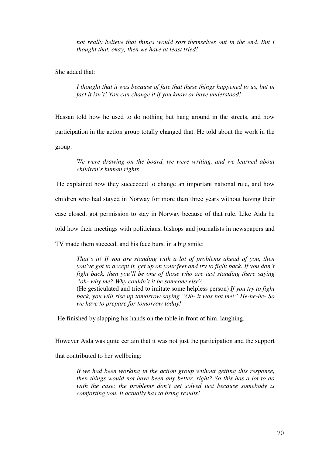*not really believe that things would sort themselves out in the end. But I thought that, okay; then we have at least tried!* 

She added that:

*I thought that it was because of fate that these things happened to us, but in fact it isn't! You can change it if you know or have understood!* 

Hassan told how he used to do nothing but hang around in the streets, and how participation in the action group totally changed that. He told about the work in the group:

*We were drawing on the board, we were writing, and we learned about children's human rights* 

He explained how they succeeded to change an important national rule, and how children who had stayed in Norway for more than three years without having their case closed, got permission to stay in Norway because of that rule. Like Aida he told how their meetings with politicians, bishops and journalists in newspapers and TV made them succeed, and his face burst in a big smile:

*That's it! If you are standing with a lot of problems ahead of you, then you've got to accept it, get up on your feet and try to fight back. If you don't fight back, then you'll be one of those who are just standing there saying "oh- why me? Why couldn't it be someone else*? (He gesticulated and tried to imitate some helpless person) *If you try to fight back, you will rise up tomorrow saying "Oh- it was not me!" He-he-he- So we have to prepare for tomorrow today!*

He finished by slapping his hands on the table in front of him, laughing.

However Aida was quite certain that it was not just the participation and the support

that contributed to her wellbeing:

*If we had been working in the action group without getting this response, then things would not have been any better, right? So this has a lot to do with the case; the problems don't get solved just because somebody is comforting you. It actually has to bring results!*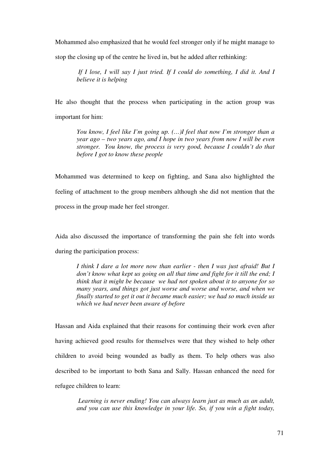Mohammed also emphasized that he would feel stronger only if he might manage to

stop the closing up of the centre he lived in, but he added after rethinking:

 *If I lose, I will say I just tried. If I could do something, I did it. And I believe it is helping* 

He also thought that the process when participating in the action group was important for him:

*You know, I feel like I'm going up. (…)I feel that now I'm stronger than a year ago – two years ago, and I hope in two years from now I will be even stronger. You know, the process is very good, because I couldn't do that before I got to know these people* 

Mohammed was determined to keep on fighting, and Sana also highlighted the feeling of attachment to the group members although she did not mention that the process in the group made her feel stronger.

Aida also discussed the importance of transforming the pain she felt into words during the participation process:

*I think I dare a lot more now than earlier - then I was just afraid! But I don't know what kept us going on all that time and fight for it till the end; I think that it might be because we had not spoken about it to anyone for so many years, and things got just worse and worse and worse, and when we finally started to get it out it became much easier; we had so much inside us which we had never been aware of before* 

Hassan and Aida explained that their reasons for continuing their work even after having achieved good results for themselves were that they wished to help other children to avoid being wounded as badly as them. To help others was also described to be important to both Sana and Sally. Hassan enhanced the need for refugee children to learn:

 *Learning is never ending! You can always learn just as much as an adult, and you can use this knowledge in your life. So, if you win a fight today,*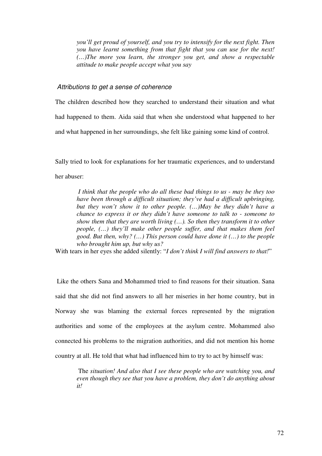*you'll get proud of yourself, and you try to intensify for the next fight. Then you have learnt something from that fight that you can use for the next! (…)The more you learn, the stronger you get, and show a respectable attitude to make people accept what you say* 

#### Attributions to get a sense of coherence

The children described how they searched to understand their situation and what had happened to them. Aida said that when she understood what happened to her and what happened in her surroundings, she felt like gaining some kind of control.

Sally tried to look for explanations for her traumatic experiences, and to understand her abuser:

*I think that the people who do all these bad things to us - may be they too have been through a difficult situation; they've had a difficult upbringing, but they won't show it to other people. (…)May be they didn't have a chance to express it or they didn't have someone to talk to - someone to show them that they are worth living (…). So then they transform it to other people, (…) they'll make other people suffer, and that makes them feel good. But then, why? (…) This person could have done it (…) to the people who brought him up, but why us?* 

With tears in her eyes she added silently: "*I don't think I will find answers to that!*"

 Like the others Sana and Mohammed tried to find reasons for their situation. Sana said that she did not find answers to all her miseries in her home country, but in Norway she was blaming the external forces represented by the migration authorities and some of the employees at the asylum centre. Mohammed also connected his problems to the migration authorities, and did not mention his home country at all. He told that what had influenced him to try to act by himself was:

 The *situation! And also that I see these people who are watching you, and even though they see that you have a problem, they don't do anything about it!*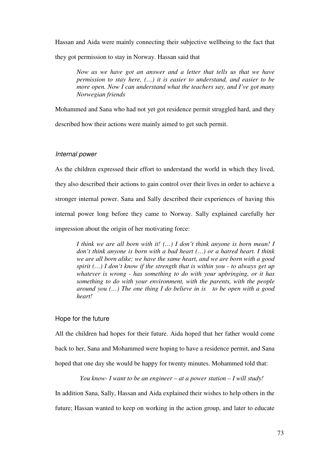Hassan and Aida were mainly connecting their subjective wellbeing to the fact that they got permission to stay in Norway. Hassan said that

*Now as we have got an answer and a letter that tells us that we have permission to stay here, (…) it is easier to understand, and easier to be more open. Now I can understand what the teachers say, and I've got many Norwegian friends* 

Mohammed and Sana who had not yet got residence permit struggled hard, and they

described how their actions were mainly aimed to get such permit.

#### Internal power

As the children expressed their effort to understand the world in which they lived, they also described their actions to gain control over their lives in order to achieve a stronger internal power. Sana and Sally described their experiences of having this internal power long before they came to Norway. Sally explained carefully her impression about the origin of her motivating force:

*I think we are all born with it! (…) I don't think anyone is born mean! I don't think anyone is born with a bad heart (…) or a hatred heart. I think we are all born alike; we have the same heart, and we are born with a good spirit (…) I don't know if the strength that is within you - to always get up whatever is wrong - has something to do with your upbringing, or it has something to do with your environment, with the parents, with the people around you (…) The one thing I do believe in is to be open with a good heart!* 

#### Hope for the future

All the children had hopes for their future. Aida hoped that her father would come back to her, Sana and Mohammed were hoping to have a residence permit, and Sana hoped that one day she would be happy for twenty minutes. Mohammed told that:

#### *You know- I want to be an engineer – at a power station – I will study!*

In addition Sana, Sally, Hassan and Aida explained their wishes to help others in the future; Hassan wanted to keep on working in the action group, and later to educate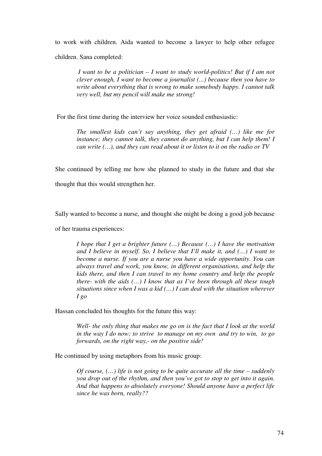to work with children. Aida wanted to become a lawyer to help other refugee children. Sana completed:

 *I want to be a politician – I want to study world-politics! But if I am not clever enough, I want to become a journalist (...) because then you have to write about everything that is wrong to make somebody happy. I cannot talk very well, but my pencil will make me strong!* 

For the first time during the interview her voice sounded enthusiastic:

*The smallest kids can't say anything, they get afraid (…) like me for instance; they cannot talk, they cannot do anything, but I can help them! I can write (…), and they can read about it or listen to it on the radio or TV* 

She continued by telling me how she planned to study in the future and that she

thought that this would strengthen her.

Sally wanted to become a nurse, and thought she might be doing a good job because

of her trauma experiences:

*I hope that I get a brighter future (…) Because (…) I have the motivation and I believe in myself. So, I believe that I'll make it, and (…) I want to become a nurse. If you are a nurse you have a wide opportunity. You can always travel and work, you know, in different organisations, and help the kids there, and then I can travel to my home country and help the people there- with the aids (…) I know that as I've been through all these tough situations since when I was a kid (…) I can deal with the situation wherever I go* 

Hassan concluded his thoughts for the future this way:

*Well- the only thing that makes me go on is the fact that I look at the world in the way I do now; to strive to manage on my own and try to win, to go forwards, on the right way,- on the positive side!* 

He continued by using metaphors from his music group:

*Of course, (…) life is not going to be quite accurate all the time – suddenly you drop out of the rhythm, and then you've got to stop to get into it again. And that happens to absolutely everyone! Should anyone have a perfect life since he was born, really??*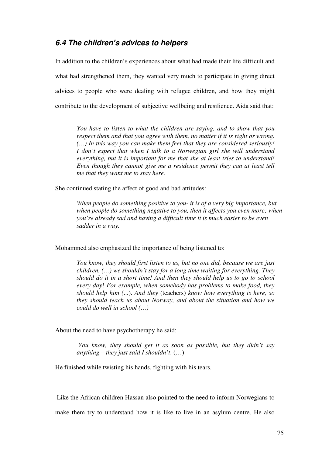### **6.4 The children's advices to helpers**

In addition to the children's experiences about what had made their life difficult and what had strengthened them, they wanted very much to participate in giving direct advices to people who were dealing with refugee children, and how they might contribute to the development of subjective wellbeing and resilience. Aida said that:

*You have to listen to what the children are saying, and to show that you respect them and that you agree with them, no matter if it is right or wrong. (…) In this way you can make them feel that they are considered seriously! I don't expect that when I talk to a Norwegian girl she will understand everything, but it is important for me that she at least tries to understand! Even though they cannot give me a residence permit they can at least tell me that they want me to stay here.* 

She continued stating the affect of good and bad attitudes:

*When people do something positive to you- it is of a very big importance, but when people do something negative to you, then it affects you even more; when you're already sad and having a difficult time it is much easier to be even sadder in a way.* 

Mohammed also emphasized the importance of being listened to:

*You know, they should first listen to us, but no one did, because we are just children. (…) we shouldn't stay for a long time waiting for everything. They should do it in a short time! And then they should help us to go to school every day*! *For example, when somebody has problems to make food, they should help him (*...). *And they* (teachers) *know how everything is here, so they should teach us about Norway, and about the situation and how we could do well in school (…)* 

About the need to have psychotherapy he said:

 *You know, they should get it as soon as possible, but they didn't say anything – they just said I shouldn't*. (…)

He finished while twisting his hands, fighting with his tears.

Like the African children Hassan also pointed to the need to inform Norwegians to

make them try to understand how it is like to live in an asylum centre. He also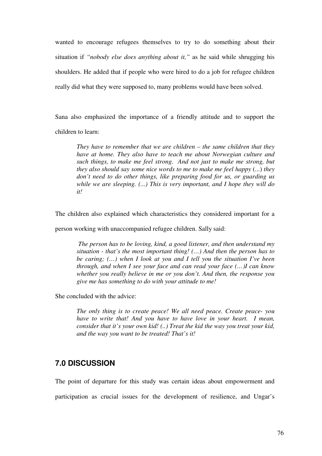wanted to encourage refugees themselves to try to do something about their situation if *"nobody else does anything about it,"* as he said while shrugging his shoulders. He added that if people who were hired to do a job for refugee children really did what they were supposed to, many problems would have been solved.

Sana also emphasized the importance of a friendly attitude and to support the children to learn:

*They have to remember that we are children – the same children that they have at home. They also have to teach me about Norwegian culture and such things, to make me feel strong. And not just to make me strong, but they also should say some nice words to me to make me feel happy* (...) *they don't need to do other things, like preparing food for us, or guarding us while we are sleeping. (...) This is very important, and I hope they will do it!* 

The children also explained which characteristics they considered important for a

person working with unaccompanied refugee children. Sally said:

*The person has to be loving, kind, a good listener, and then understand my situation - that's the most important thing! (…) And then the person has to be caring; (…) when I look at you and I tell you the situation I've been through, and when I see your face and can read your face (…)I can know whether you really believe in me or you don't. And then, the response you give me has something to do with your attitude to me!* 

She concluded with the advice:

*The only thing is to create peace! We all need peace. Create peace- you have to write that! And you have to have love in your heart. I mean, consider that it's your own kid! (..) Treat the kid the way you treat your kid, and the way you want to be treated! That's it!*

### **7.0 DISCUSSION**

The point of departure for this study was certain ideas about empowerment and participation as crucial issues for the development of resilience, and Ungar's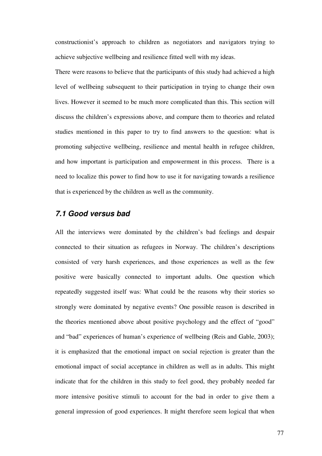constructionist's approach to children as negotiators and navigators trying to achieve subjective wellbeing and resilience fitted well with my ideas.

There were reasons to believe that the participants of this study had achieved a high level of wellbeing subsequent to their participation in trying to change their own lives. However it seemed to be much more complicated than this. This section will discuss the children's expressions above, and compare them to theories and related studies mentioned in this paper to try to find answers to the question: what is promoting subjective wellbeing, resilience and mental health in refugee children, and how important is participation and empowerment in this process. There is a need to localize this power to find how to use it for navigating towards a resilience that is experienced by the children as well as the community.

#### **7.1 Good versus bad**

All the interviews were dominated by the children's bad feelings and despair connected to their situation as refugees in Norway. The children's descriptions consisted of very harsh experiences, and those experiences as well as the few positive were basically connected to important adults. One question which repeatedly suggested itself was: What could be the reasons why their stories so strongly were dominated by negative events? One possible reason is described in the theories mentioned above about positive psychology and the effect of "good" and "bad" experiences of human's experience of wellbeing (Reis and Gable, 2003); it is emphasized that the emotional impact on social rejection is greater than the emotional impact of social acceptance in children as well as in adults. This might indicate that for the children in this study to feel good, they probably needed far more intensive positive stimuli to account for the bad in order to give them a general impression of good experiences. It might therefore seem logical that when

77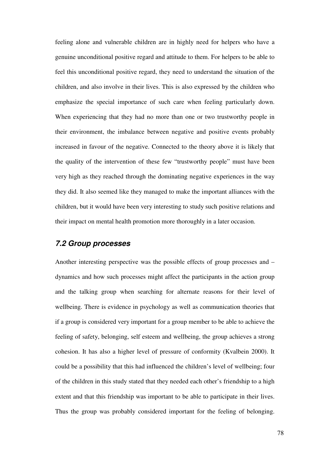feeling alone and vulnerable children are in highly need for helpers who have a genuine unconditional positive regard and attitude to them. For helpers to be able to feel this unconditional positive regard, they need to understand the situation of the children, and also involve in their lives. This is also expressed by the children who emphasize the special importance of such care when feeling particularly down. When experiencing that they had no more than one or two trustworthy people in their environment, the imbalance between negative and positive events probably increased in favour of the negative. Connected to the theory above it is likely that the quality of the intervention of these few "trustworthy people" must have been very high as they reached through the dominating negative experiences in the way they did. It also seemed like they managed to make the important alliances with the children, but it would have been very interesting to study such positive relations and their impact on mental health promotion more thoroughly in a later occasion.

### **7.2 Group processes**

Another interesting perspective was the possible effects of group processes and – dynamics and how such processes might affect the participants in the action group and the talking group when searching for alternate reasons for their level of wellbeing. There is evidence in psychology as well as communication theories that if a group is considered very important for a group member to be able to achieve the feeling of safety, belonging, self esteem and wellbeing, the group achieves a strong cohesion. It has also a higher level of pressure of conformity (Kvalbein 2000). It could be a possibility that this had influenced the children's level of wellbeing; four of the children in this study stated that they needed each other's friendship to a high extent and that this friendship was important to be able to participate in their lives. Thus the group was probably considered important for the feeling of belonging.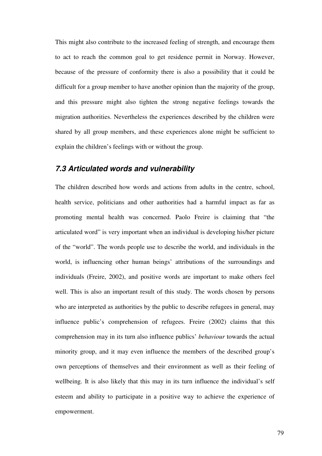This might also contribute to the increased feeling of strength, and encourage them to act to reach the common goal to get residence permit in Norway. However, because of the pressure of conformity there is also a possibility that it could be difficult for a group member to have another opinion than the majority of the group, and this pressure might also tighten the strong negative feelings towards the migration authorities. Nevertheless the experiences described by the children were shared by all group members, and these experiences alone might be sufficient to explain the children's feelings with or without the group.

### **7.3 Articulated words and vulnerability**

The children described how words and actions from adults in the centre, school, health service, politicians and other authorities had a harmful impact as far as promoting mental health was concerned. Paolo Freire is claiming that "the articulated word" is very important when an individual is developing his/her picture of the "world". The words people use to describe the world, and individuals in the world, is influencing other human beings' attributions of the surroundings and individuals (Freire, 2002), and positive words are important to make others feel well. This is also an important result of this study. The words chosen by persons who are interpreted as authorities by the public to describe refugees in general, may influence public's comprehension of refugees. Freire (2002) claims that this comprehension may in its turn also influence publics' *behaviour* towards the actual minority group, and it may even influence the members of the described group's own perceptions of themselves and their environment as well as their feeling of wellbeing. It is also likely that this may in its turn influence the individual's self esteem and ability to participate in a positive way to achieve the experience of empowerment.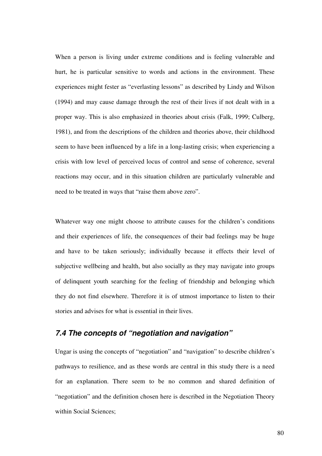When a person is living under extreme conditions and is feeling vulnerable and hurt, he is particular sensitive to words and actions in the environment. These experiences might fester as "everlasting lessons" as described by Lindy and Wilson (1994) and may cause damage through the rest of their lives if not dealt with in a proper way. This is also emphasized in theories about crisis (Falk, 1999; Culberg, 1981), and from the descriptions of the children and theories above, their childhood seem to have been influenced by a life in a long-lasting crisis; when experiencing a crisis with low level of perceived locus of control and sense of coherence, several reactions may occur, and in this situation children are particularly vulnerable and need to be treated in ways that "raise them above zero".

Whatever way one might choose to attribute causes for the children's conditions and their experiences of life, the consequences of their bad feelings may be huge and have to be taken seriously; individually because it effects their level of subjective wellbeing and health, but also socially as they may navigate into groups of delinquent youth searching for the feeling of friendship and belonging which they do not find elsewhere. Therefore it is of utmost importance to listen to their stories and advises for what is essential in their lives.

### **7.4 The concepts of "negotiation and navigation"**

Ungar is using the concepts of "negotiation" and "navigation" to describe children's pathways to resilience, and as these words are central in this study there is a need for an explanation. There seem to be no common and shared definition of "negotiation" and the definition chosen here is described in the Negotiation Theory within Social Sciences;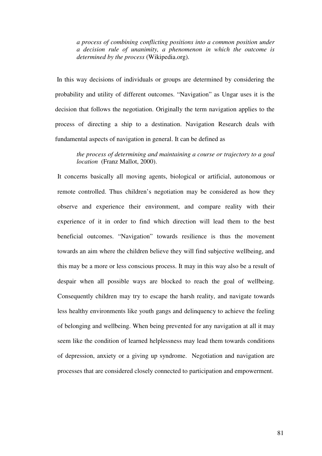*a process of combining conflicting positions into a common position under a decision rule of unanimity, a phenomenon in which the outcome is determined by the process* (Wikipedia.org).

 In this way decisions of individuals or groups are determined by considering the probability and utility of different outcomes. "Navigation" as Ungar uses it is the decision that follows the negotiation. Originally the term navigation applies to the process of directing a ship to a destination. Navigation Research deals with fundamental aspects of navigation in general. It can be defined as

*the process of determining and maintaining a course or trajectory to a goal location* (Franz Mallot, 2000).

It concerns basically all moving agents, biological or artificial, autonomous or remote controlled. Thus children's negotiation may be considered as how they observe and experience their environment, and compare reality with their experience of it in order to find which direction will lead them to the best beneficial outcomes. "Navigation" towards resilience is thus the movement towards an aim where the children believe they will find subjective wellbeing, and this may be a more or less conscious process. It may in this way also be a result of despair when all possible ways are blocked to reach the goal of wellbeing. Consequently children may try to escape the harsh reality, and navigate towards less healthy environments like youth gangs and delinquency to achieve the feeling of belonging and wellbeing. When being prevented for any navigation at all it may seem like the condition of learned helplessness may lead them towards conditions of depression, anxiety or a giving up syndrome. Negotiation and navigation are processes that are considered closely connected to participation and empowerment.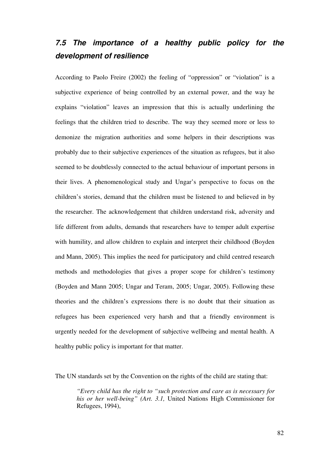# **7.5 The importance of a healthy public policy for the development of resilience**

According to Paolo Freire (2002) the feeling of "oppression" or "violation" is a subjective experience of being controlled by an external power, and the way he explains "violation" leaves an impression that this is actually underlining the feelings that the children tried to describe. The way they seemed more or less to demonize the migration authorities and some helpers in their descriptions was probably due to their subjective experiences of the situation as refugees, but it also seemed to be doubtlessly connected to the actual behaviour of important persons in their lives. A phenomenological study and Ungar's perspective to focus on the children's stories, demand that the children must be listened to and believed in by the researcher. The acknowledgement that children understand risk, adversity and life different from adults, demands that researchers have to temper adult expertise with humility, and allow children to explain and interpret their childhood (Boyden and Mann, 2005). This implies the need for participatory and child centred research methods and methodologies that gives a proper scope for children's testimony (Boyden and Mann 2005; Ungar and Teram, 2005; Ungar, 2005). Following these theories and the children's expressions there is no doubt that their situation as refugees has been experienced very harsh and that a friendly environment is urgently needed for the development of subjective wellbeing and mental health. A healthy public policy is important for that matter.

The UN standards set by the Convention on the rights of the child are stating that:

*"Every child has the right to "such protection and care as is necessary for his or her well-being" (Art. 3.1,* United Nations High Commissioner for Refugees, 1994),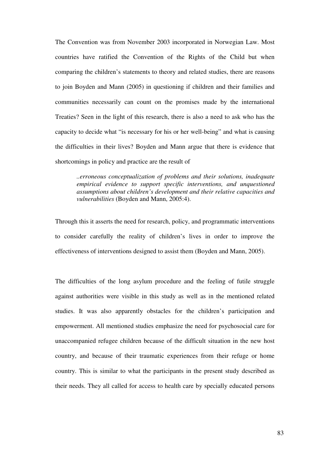The Convention was from November 2003 incorporated in Norwegian Law. Most countries have ratified the Convention of the Rights of the Child but when comparing the children's statements to theory and related studies, there are reasons to join Boyden and Mann (2005) in questioning if children and their families and communities necessarily can count on the promises made by the international Treaties? Seen in the light of this research, there is also a need to ask who has the capacity to decide what "is necessary for his or her well-being" and what is causing the difficulties in their lives? Boyden and Mann argue that there is evidence that shortcomings in policy and practice are the result of

*..erroneous conceptualization of problems and their solutions, inadequate empirical evidence to support specific interventions, and unquestioned assumptions about children's development and their relative capacities and vulnerabilities* (Boyden and Mann, 2005:4).

Through this it asserts the need for research, policy, and programmatic interventions to consider carefully the reality of children's lives in order to improve the effectiveness of interventions designed to assist them (Boyden and Mann, 2005).

The difficulties of the long asylum procedure and the feeling of futile struggle against authorities were visible in this study as well as in the mentioned related studies. It was also apparently obstacles for the children's participation and empowerment. All mentioned studies emphasize the need for psychosocial care for unaccompanied refugee children because of the difficult situation in the new host country, and because of their traumatic experiences from their refuge or home country. This is similar to what the participants in the present study described as their needs. They all called for access to health care by specially educated persons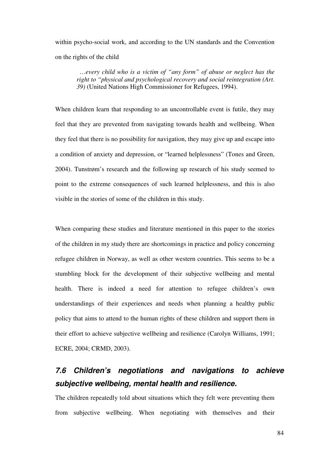within psycho-social work, and according to the UN standards and the Convention on the rights of the child

 *…every child who is a victim of "any form" of abuse or neglect has the right to "physical and psychological recovery and social reintegration (Art. 39)* (United Nations High Commissioner for Refugees, 1994).

When children learn that responding to an uncontrollable event is futile, they may feel that they are prevented from navigating towards health and wellbeing. When they feel that there is no possibility for navigation, they may give up and escape into a condition of anxiety and depression, or "learned helplessness" (Tones and Green, 2004). Tunstrøm's research and the following up research of his study seemed to point to the extreme consequences of such learned helplessness, and this is also visible in the stories of some of the children in this study.

When comparing these studies and literature mentioned in this paper to the stories of the children in my study there are shortcomings in practice and policy concerning refugee children in Norway, as well as other western countries. This seems to be a stumbling block for the development of their subjective wellbeing and mental health. There is indeed a need for attention to refugee children's own understandings of their experiences and needs when planning a healthy public policy that aims to attend to the human rights of these children and support them in their effort to achieve subjective wellbeing and resilience (Carolyn Williams, 1991; ECRE, 2004; CRMD, 2003).

## **7.6 Children's negotiations and navigations to achieve subjective wellbeing, mental health and resilience.**

The children repeatedly told about situations which they felt were preventing them from subjective wellbeing. When negotiating with themselves and their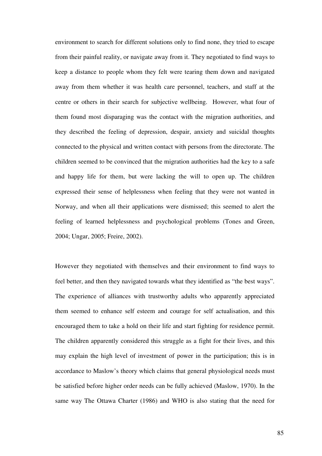environment to search for different solutions only to find none, they tried to escape from their painful reality, or navigate away from it. They negotiated to find ways to keep a distance to people whom they felt were tearing them down and navigated away from them whether it was health care personnel, teachers, and staff at the centre or others in their search for subjective wellbeing. However, what four of them found most disparaging was the contact with the migration authorities, and they described the feeling of depression, despair, anxiety and suicidal thoughts connected to the physical and written contact with persons from the directorate. The children seemed to be convinced that the migration authorities had the key to a safe and happy life for them, but were lacking the will to open up. The children expressed their sense of helplessness when feeling that they were not wanted in Norway, and when all their applications were dismissed; this seemed to alert the feeling of learned helplessness and psychological problems (Tones and Green, 2004; Ungar, 2005; Freire, 2002).

However they negotiated with themselves and their environment to find ways to feel better, and then they navigated towards what they identified as "the best ways". The experience of alliances with trustworthy adults who apparently appreciated them seemed to enhance self esteem and courage for self actualisation, and this encouraged them to take a hold on their life and start fighting for residence permit. The children apparently considered this struggle as a fight for their lives, and this may explain the high level of investment of power in the participation; this is in accordance to Maslow's theory which claims that general physiological needs must be satisfied before higher order needs can be fully achieved (Maslow, 1970). In the same way The Ottawa Charter (1986) and WHO is also stating that the need for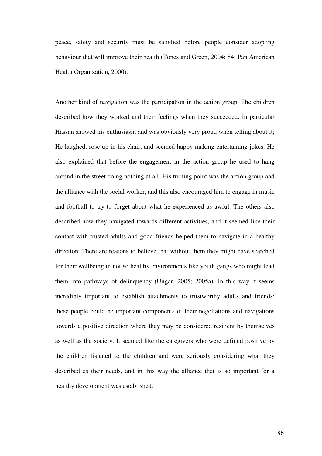peace, safety and security must be satisfied before people consider adopting behaviour that will improve their health (Tones and Green, 2004: 84; Pan American Health Organization, 2000).

Another kind of navigation was the participation in the action group. The children described how they worked and their feelings when they succeeded. In particular Hassan showed his enthusiasm and was obviously very proud when telling about it; He laughed, rose up in his chair, and seemed happy making entertaining jokes. He also explained that before the engagement in the action group he used to hang around in the street doing nothing at all. His turning point was the action group and the alliance with the social worker, and this also encouraged him to engage in music and football to try to forget about what he experienced as awful. The others also described how they navigated towards different activities, and it seemed like their contact with trusted adults and good friends helped them to navigate in a healthy direction. There are reasons to believe that without them they might have searched for their wellbeing in not so healthy environments like youth gangs who might lead them into pathways of delinquency (Ungar, 2005; 2005a). In this way it seems incredibly important to establish attachments to trustworthy adults and friends; these people could be important components of their negotiations and navigations towards a positive direction where they may be considered resilient by themselves as well as the society. It seemed like the caregivers who were defined positive by the children listened to the children and were seriously considering what they described as their needs, and in this way the alliance that is so important for a healthy development was established.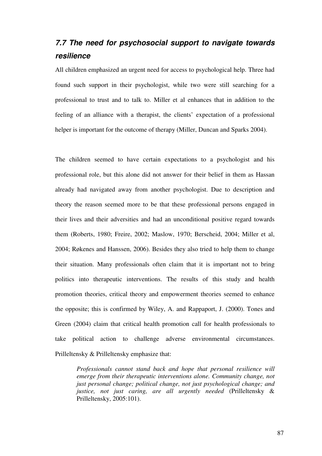## **7.7 The need for psychosocial support to navigate towards resilience**

All children emphasized an urgent need for access to psychological help. Three had found such support in their psychologist, while two were still searching for a professional to trust and to talk to. Miller et al enhances that in addition to the feeling of an alliance with a therapist, the clients' expectation of a professional helper is important for the outcome of therapy (Miller, Duncan and Sparks 2004).

The children seemed to have certain expectations to a psychologist and his professional role, but this alone did not answer for their belief in them as Hassan already had navigated away from another psychologist. Due to description and theory the reason seemed more to be that these professional persons engaged in their lives and their adversities and had an unconditional positive regard towards them (Roberts, 1980; Freire, 2002; Maslow, 1970; Berscheid, 2004; Miller et al, 2004; Røkenes and Hanssen, 2006). Besides they also tried to help them to change their situation. Many professionals often claim that it is important not to bring politics into therapeutic interventions. The results of this study and health promotion theories, critical theory and empowerment theories seemed to enhance the opposite; this is confirmed by Wiley, A. and Rappaport, J. (2000). Tones and Green (2004) claim that critical health promotion call for health professionals to take political action to challenge adverse environmental circumstances. Prilleltensky & Prilleltensky emphasize that:

*Professionals cannot stand back and hope that personal resilience will emerge from their therapeutic interventions alone. Community change, not just personal change; political change, not just psychological change; and justice, not just caring, are all urgently needed* (Prilleltensky & Prilleltensky, 2005:101).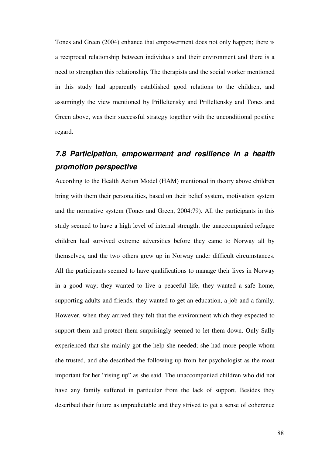Tones and Green (2004) enhance that empowerment does not only happen; there is a reciprocal relationship between individuals and their environment and there is a need to strengthen this relationship*.* The therapists and the social worker mentioned in this study had apparently established good relations to the children, and assumingly the view mentioned by Prilleltensky and Prilleltensky and Tones and Green above, was their successful strategy together with the unconditional positive regard.

# **7.8 Participation, empowerment and resilience in a health promotion perspective**

According to the Health Action Model (HAM) mentioned in theory above children bring with them their personalities, based on their belief system, motivation system and the normative system (Tones and Green, 2004:79). All the participants in this study seemed to have a high level of internal strength; the unaccompanied refugee children had survived extreme adversities before they came to Norway all by themselves, and the two others grew up in Norway under difficult circumstances. All the participants seemed to have qualifications to manage their lives in Norway in a good way; they wanted to live a peaceful life, they wanted a safe home, supporting adults and friends, they wanted to get an education, a job and a family. However, when they arrived they felt that the environment which they expected to support them and protect them surprisingly seemed to let them down. Only Sally experienced that she mainly got the help she needed; she had more people whom she trusted, and she described the following up from her psychologist as the most important for her "rising up" as she said. The unaccompanied children who did not have any family suffered in particular from the lack of support. Besides they described their future as unpredictable and they strived to get a sense of coherence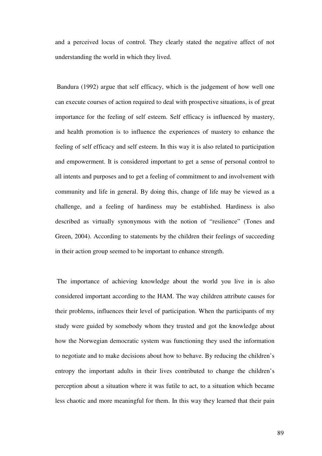and a perceived locus of control. They clearly stated the negative affect of not understanding the world in which they lived.

Bandura (1992) argue that self efficacy, which is the judgement of how well one can execute courses of action required to deal with prospective situations, is of great importance for the feeling of self esteem. Self efficacy is influenced by mastery, and health promotion is to influence the experiences of mastery to enhance the feeling of self efficacy and self esteem. In this way it is also related to participation and empowerment. It is considered important to get a sense of personal control to all intents and purposes and to get a feeling of commitment to and involvement with community and life in general. By doing this, change of life may be viewed as a challenge, and a feeling of hardiness may be established. Hardiness is also described as virtually synonymous with the notion of "resilience" (Tones and Green, 2004). According to statements by the children their feelings of succeeding in their action group seemed to be important to enhance strength.

 The importance of achieving knowledge about the world you live in is also considered important according to the HAM. The way children attribute causes for their problems, influences their level of participation. When the participants of my study were guided by somebody whom they trusted and got the knowledge about how the Norwegian democratic system was functioning they used the information to negotiate and to make decisions about how to behave. By reducing the children's entropy the important adults in their lives contributed to change the children's perception about a situation where it was futile to act, to a situation which became less chaotic and more meaningful for them. In this way they learned that their pain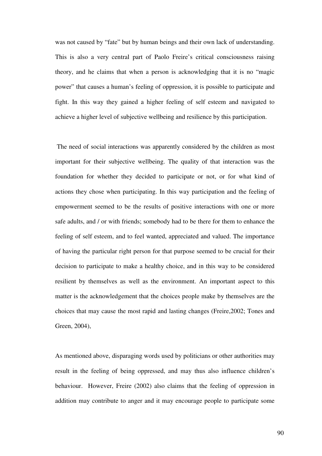was not caused by "fate" but by human beings and their own lack of understanding. This is also a very central part of Paolo Freire's critical consciousness raising theory, and he claims that when a person is acknowledging that it is no "magic power" that causes a human's feeling of oppression, it is possible to participate and fight. In this way they gained a higher feeling of self esteem and navigated to achieve a higher level of subjective wellbeing and resilience by this participation.

 The need of social interactions was apparently considered by the children as most important for their subjective wellbeing. The quality of that interaction was the foundation for whether they decided to participate or not, or for what kind of actions they chose when participating. In this way participation and the feeling of empowerment seemed to be the results of positive interactions with one or more safe adults, and / or with friends; somebody had to be there for them to enhance the feeling of self esteem, and to feel wanted, appreciated and valued. The importance of having the particular right person for that purpose seemed to be crucial for their decision to participate to make a healthy choice, and in this way to be considered resilient by themselves as well as the environment. An important aspect to this matter is the acknowledgement that the choices people make by themselves are the choices that may cause the most rapid and lasting changes (Freire,2002; Tones and Green, 2004),

As mentioned above, disparaging words used by politicians or other authorities may result in the feeling of being oppressed, and may thus also influence children's behaviour. However, Freire (2002) also claims that the feeling of oppression in addition may contribute to anger and it may encourage people to participate some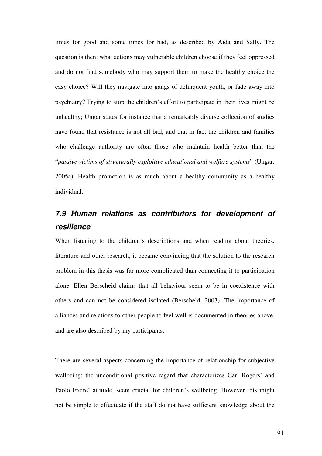times for good and some times for bad, as described by Aida and Sally. The question is then: what actions may vulnerable children choose if they feel oppressed and do not find somebody who may support them to make the healthy choice the easy choice? Will they navigate into gangs of delinquent youth, or fade away into psychiatry? Trying to stop the children's effort to participate in their lives might be unhealthy; Ungar states for instance that a remarkably diverse collection of studies have found that resistance is not all bad, and that in fact the children and families who challenge authority are often those who maintain health better than the "*passive victims of structurally exploitive educational and welfare systems*" (Ungar, 2005a). Health promotion is as much about a healthy community as a healthy individual.

### **7.9 Human relations as contributors for development of resilience**

When listening to the children's descriptions and when reading about theories, literature and other research, it became convincing that the solution to the research problem in this thesis was far more complicated than connecting it to participation alone. Ellen Berscheid claims that all behaviour seem to be in coexistence with others and can not be considered isolated (Berscheid, 2003). The importance of alliances and relations to other people to feel well is documented in theories above, and are also described by my participants.

There are several aspects concerning the importance of relationship for subjective wellbeing; the unconditional positive regard that characterizes Carl Rogers' and Paolo Freire' attitude, seem crucial for children's wellbeing. However this might not be simple to effectuate if the staff do not have sufficient knowledge about the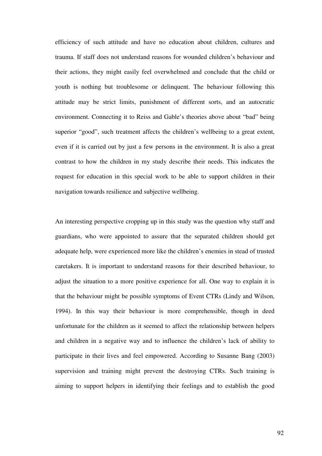efficiency of such attitude and have no education about children, cultures and trauma. If staff does not understand reasons for wounded children's behaviour and their actions, they might easily feel overwhelmed and conclude that the child or youth is nothing but troublesome or delinquent. The behaviour following this attitude may be strict limits, punishment of different sorts, and an autocratic environment. Connecting it to Reiss and Gable's theories above about "bad" being superior "good", such treatment affects the children's wellbeing to a great extent, even if it is carried out by just a few persons in the environment. It is also a great contrast to how the children in my study describe their needs. This indicates the request for education in this special work to be able to support children in their navigation towards resilience and subjective wellbeing.

An interesting perspective cropping up in this study was the question why staff and guardians, who were appointed to assure that the separated children should get adequate help, were experienced more like the children's enemies in stead of trusted caretakers. It is important to understand reasons for their described behaviour, to adjust the situation to a more positive experience for all. One way to explain it is that the behaviour might be possible symptoms of Event CTRs (Lindy and Wilson, 1994). In this way their behaviour is more comprehensible, though in deed unfortunate for the children as it seemed to affect the relationship between helpers and children in a negative way and to influence the children's lack of ability to participate in their lives and feel empowered. According to Susanne Bang (2003) supervision and training might prevent the destroying CTRs. Such training is aiming to support helpers in identifying their feelings and to establish the good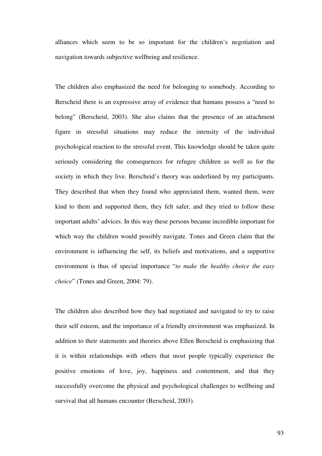alliances which seem to be so important for the children's negotiation and navigation towards subjective wellbeing and resilience.

The children also emphasized the need for belonging to somebody. According to Berscheid there is an expressive array of evidence that humans possess a "need to belong" (Berscheid, 2003). She also claims that the presence of an attachment figure in stressful situations may reduce the intensity of the individual psychological reaction to the stressful event. This knowledge should be taken quite seriously considering the consequences for refugee children as well as for the society in which they live. Berscheid's theory was underlined by my participants. They described that when they found who appreciated them, wanted them, were kind to them and supported them, they felt safer, and they tried to follow these important adults' advices. In this way these persons became incredible important for which way the children would possibly navigate. Tones and Green claim that the environment is influencing the self, its beliefs and motivations, and a supportive environment is thus of special importance "*to make the healthy choice the easy choice*" (Tones and Green, 2004: 79).

The children also described how they had negotiated and navigated to try to raise their self esteem, and the importance of a friendly environment was emphasized. In addition to their statements and theories above Ellen Berscheid is emphasizing that it is within relationships with others that most people typically experience the positive emotions of love, joy, happiness and contentment, and that they successfully overcome the physical and psychological challenges to wellbeing and survival that all humans encounter (Berscheid, 2003).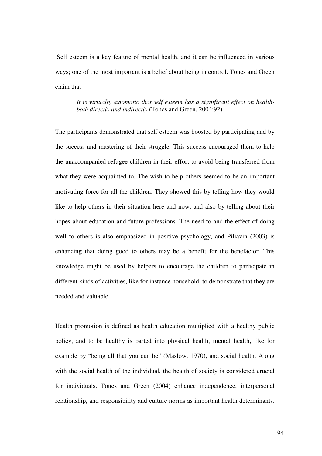Self esteem is a key feature of mental health, and it can be influenced in various ways; one of the most important is a belief about being in control. Tones and Green claim that

#### *It is virtually axiomatic that self esteem has a significant effect on healthboth directly and indirectly* (Tones and Green, 2004:92).

The participants demonstrated that self esteem was boosted by participating and by the success and mastering of their struggle*.* This success encouraged them to help the unaccompanied refugee children in their effort to avoid being transferred from what they were acquainted to. The wish to help others seemed to be an important motivating force for all the children. They showed this by telling how they would like to help others in their situation here and now, and also by telling about their hopes about education and future professions. The need to and the effect of doing well to others is also emphasized in positive psychology, and Piliavin (2003) is enhancing that doing good to others may be a benefit for the benefactor. This knowledge might be used by helpers to encourage the children to participate in different kinds of activities, like for instance household, to demonstrate that they are needed and valuable.

Health promotion is defined as health education multiplied with a healthy public policy, and to be healthy is parted into physical health, mental health, like for example by "being all that you can be" (Maslow, 1970), and social health. Along with the social health of the individual, the health of society is considered crucial for individuals. Tones and Green (2004) enhance independence, interpersonal relationship, and responsibility and culture norms as important health determinants.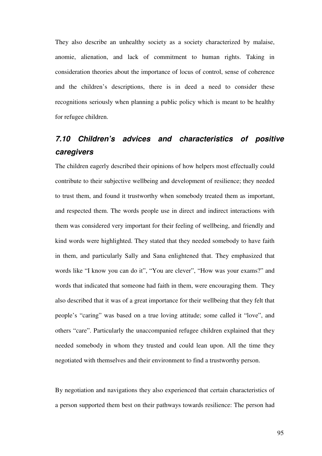They also describe an unhealthy society as a society characterized by malaise, anomie, alienation, and lack of commitment to human rights. Taking in consideration theories about the importance of locus of control, sense of coherence and the children's descriptions, there is in deed a need to consider these recognitions seriously when planning a public policy which is meant to be healthy for refugee children.

## **7.10 Children's advices and characteristics of positive caregivers**

The children eagerly described their opinions of how helpers most effectually could contribute to their subjective wellbeing and development of resilience; they needed to trust them, and found it trustworthy when somebody treated them as important, and respected them. The words people use in direct and indirect interactions with them was considered very important for their feeling of wellbeing, and friendly and kind words were highlighted. They stated that they needed somebody to have faith in them, and particularly Sally and Sana enlightened that. They emphasized that words like "I know you can do it", "You are clever", "How was your exams?" and words that indicated that someone had faith in them, were encouraging them. They also described that it was of a great importance for their wellbeing that they felt that people's "caring" was based on a true loving attitude; some called it "love", and others "care". Particularly the unaccompanied refugee children explained that they needed somebody in whom they trusted and could lean upon. All the time they negotiated with themselves and their environment to find a trustworthy person.

By negotiation and navigations they also experienced that certain characteristics of a person supported them best on their pathways towards resilience: The person had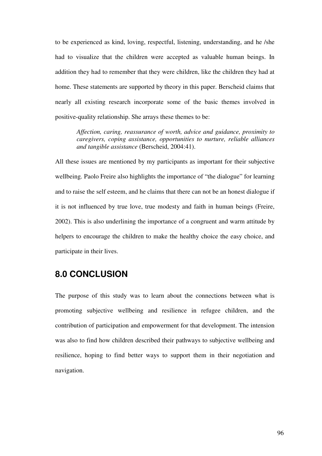to be experienced as kind, loving, respectful, listening, understanding, and he /she had to visualize that the children were accepted as valuable human beings. In addition they had to remember that they were children, like the children they had at home. These statements are supported by theory in this paper. Berscheid claims that nearly all existing research incorporate some of the basic themes involved in positive-quality relationship. She arrays these themes to be:

*Affection, caring, reassurance of worth, advice and guidance, proximity to caregivers, coping assistance, opportunities to nurture, reliable alliances and tangible assistance* (Berscheid, 2004:41).

All these issues are mentioned by my participants as important for their subjective wellbeing. Paolo Freire also highlights the importance of "the dialogue" for learning and to raise the self esteem, and he claims that there can not be an honest dialogue if it is not influenced by true love, true modesty and faith in human beings (Freire, 2002). This is also underlining the importance of a congruent and warm attitude by helpers to encourage the children to make the healthy choice the easy choice, and participate in their lives.

### **8.0 CONCLUSION**

The purpose of this study was to learn about the connections between what is promoting subjective wellbeing and resilience in refugee children, and the contribution of participation and empowerment for that development. The intension was also to find how children described their pathways to subjective wellbeing and resilience, hoping to find better ways to support them in their negotiation and navigation.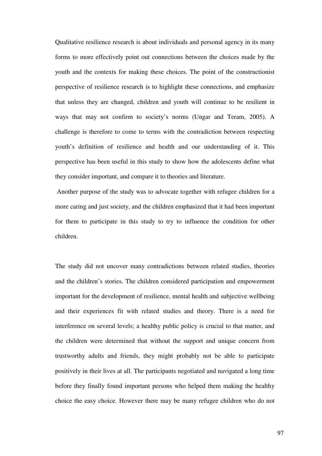Qualitative resilience research is about individuals and personal agency in its many forms to more effectively point out connections between the choices made by the youth and the contexts for making these choices. The point of the constructionist perspective of resilience research is to highlight these connections, and emphasize that unless they are changed, children and youth will continue to be resilient in ways that may not confirm to society's norms (Ungar and Teram, 2005). A challenge is therefore to come to terms with the contradiction between respecting youth's definition of resilience and health and our understanding of it. This perspective has been useful in this study to show how the adolescents define what they consider important, and compare it to theories and literature.

 Another purpose of the study was to advocate together with refugee children for a more caring and just society, and the children emphasized that it had been important for them to participate in this study to try to influence the condition for other children.

The study did not uncover many contradictions between related studies, theories and the children's stories. The children considered participation and empowerment important for the development of resilience, mental health and subjective wellbeing and their experiences fit with related studies and theory. There is a need for interference on several levels; a healthy public policy is crucial to that matter, and the children were determined that without the support and unique concern from trustworthy adults and friends, they might probably not be able to participate positively in their lives at all. The participants negotiated and navigated a long time before they finally found important persons who helped them making the healthy choice the easy choice. However there may be many refugee children who do not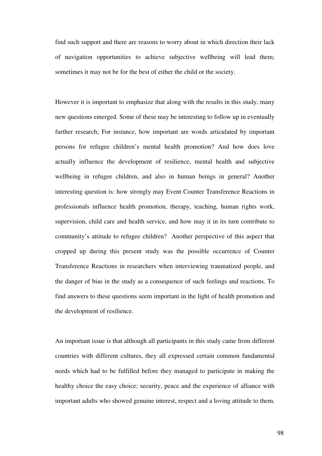find such support and there are reasons to worry about in which direction their lack of navigation opportunities to achieve subjective wellbeing will lead them; sometimes it may not be for the best of either the child or the society.

However it is important to emphasize that along with the results in this study, many new questions emerged. Some of these may be interesting to follow up in eventually further research; For instance, how important are words articulated by important persons for refugee children's mental health promotion? And how does love actually influence the development of resilience, mental health and subjective wellbeing in refugee children, and also in human beings in general? Another interesting question is: how strongly may Event Counter Transference Reactions in professionals influence health promotion, therapy, teaching, human rights work, supervision, child care and health service, and how may it in its turn contribute to community's attitude to refugee children? Another perspective of this aspect that cropped up during this present study was the possible occurrence of Counter Transference Reactions in researchers when interviewing traumatized people, and the danger of bias in the study as a consequence of such feelings and reactions. To find answers to these questions seem important in the light of health promotion and the development of resilience.

An important issue is that although all participants in this study came from different countries with different cultures, they all expressed certain common fundamental needs which had to be fulfilled before they managed to participate in making the healthy choice the easy choice; security, peace and the experience of alliance with important adults who showed genuine interest, respect and a loving attitude to them.

98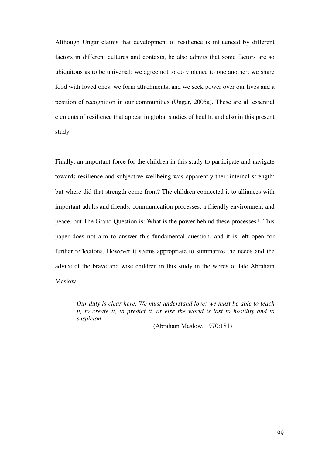Although Ungar claims that development of resilience is influenced by different factors in different cultures and contexts, he also admits that some factors are so ubiquitous as to be universal: we agree not to do violence to one another; we share food with loved ones; we form attachments, and we seek power over our lives and a position of recognition in our communities (Ungar, 2005a). These are all essential elements of resilience that appear in global studies of health, and also in this present study.

Finally, an important force for the children in this study to participate and navigate towards resilience and subjective wellbeing was apparently their internal strength; but where did that strength come from? The children connected it to alliances with important adults and friends, communication processes, a friendly environment and peace, but The Grand Question is: What is the power behind these processes? This paper does not aim to answer this fundamental question, and it is left open for further reflections. However it seems appropriate to summarize the needs and the advice of the brave and wise children in this study in the words of late Abraham Maslow:

*Our duty is clear here. We must understand love; we must be able to teach it, to create it, to predict it, or else the world is lost to hostility and to suspicion* 

(Abraham Maslow, 1970:181)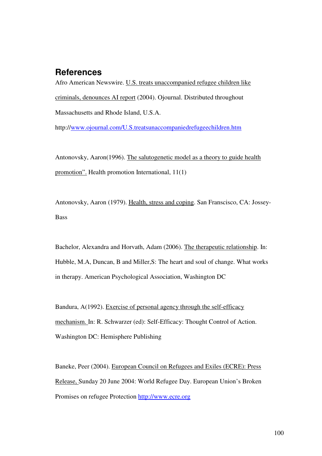### **References**

Afro American Newswire. U.S. treats unaccompanied refugee children like criminals, denounces AI report (2004). Ojournal. Distributed throughout Massachusetts and Rhode Island, U.S.A.

http://www.ojournal.com/U.S.treatsunaccompaniedrefugeechildren.htm

Antonovsky, Aaron(1996). The salutogenetic model as a theory to guide health promotion". Health promotion International, 11(1)

Antonovsky, Aaron (1979). Health, stress and coping. San Franscisco, CA: Jossey-Bass

Bachelor, Alexandra and Horvath, Adam (2006). The therapeutic relationship. In: Hubble, M.A, Duncan, B and Miller,S: The heart and soul of change. What works in therapy. American Psychological Association, Washington DC

Bandura, A(1992). Exercise of personal agency through the self-efficacy mechanism. In: R. Schwarzer (ed): Self-Efficacy: Thought Control of Action. Washington DC: Hemisphere Publishing

Baneke, Peer (2004). European Council on Refugees and Exiles (ECRE): Press Release, Sunday 20 June 2004: World Refugee Day. European Union's Broken Promises on refugee Protection http://www.ecre.org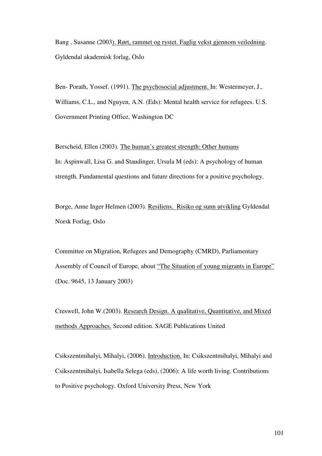Bang , Susanne (2003). Rørt, rammet og rystet. Faglig vekst gjennom veiledning. Gyldendal akademisk forlag, Oslo

Ben- Porath, Yossef. (1991). The psychosocial adjustment. In: Westermeyer, J., Williams, C.L., and Nguyen, A.N. (Eds): Mental health service for refugees. U.S. Government Printing Office, Washington DC

Berscheid, Ellen (2003). The human's greatest strength: Other humans In: Aspinwall, Lisa G. and Staudinger, Ursula M (eds): A psychology of human strength. Fundamental questions and future directions for a positive psychology.

Borge, Anne Inger Helmen (2003). Resiliens. Risiko og sunn utvikling Gyldendal Norsk Forlag, Oslo

Committee on Migration, Refugees and Demography (CMRD), Parliamentary Assembly of Council of Europe, about "The Situation of young migrants in Europe" (Doc. 9645, 13 January 2003)

Creswell, John W.(2003). Research Design. A qualitative, Quantitative, and Mixed methods Approaches. Second edition. SAGE Publications United

Csikszentmihalyi, Mihalyi, (2006). Introduction. In: Csikszentmihalyi, Mihalyi and Csikszentmihalyi, Isabella Selega (eds), (2006): A life worth living. Contributions to Positive psychology. Oxford University Press, New York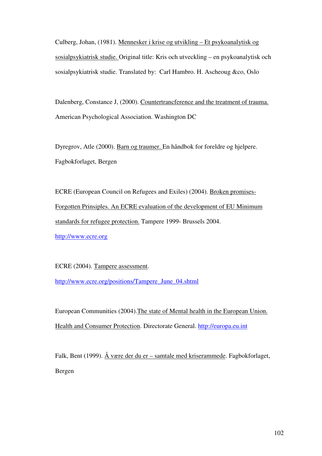Culberg, Johan, (1981). Mennesker i krise og utvikling – Et psykoanalytisk og sosialpsykiatrisk studie. Original title: Kris och utveckling – en psykoanalytisk och sosialpsykiatrisk studie. Translated by: Carl Hambro. H. Ascheoug &co, Oslo

Dalenberg, Constance J, (2000). Countertrancference and the treatment of trauma. American Psychological Association. Washington DC

Dyregrov, Atle (2000). Barn og traumer. En håndbok for foreldre og hjelpere. Fagbokforlaget, Bergen

ECRE (European Council on Refugees and Exiles) (2004). Broken promises-Forgotten Prinsiples. An ECRE evaluation of the development of EU Minimum standards for refugee protection. Tampere 1999- Brussels 2004. http://www.ecre.org

ECRE (2004). Tampere assessment. http://www.ecre.org/positions/Tampere\_June\_04.shtml

European Communities (2004).The state of Mental health in the European Union. Health and Consumer Protection. Directorate General. http://europa.eu.int

Falk, Bent (1999). Å være der du er – samtale med kriserammede. Fagbokforlaget, Bergen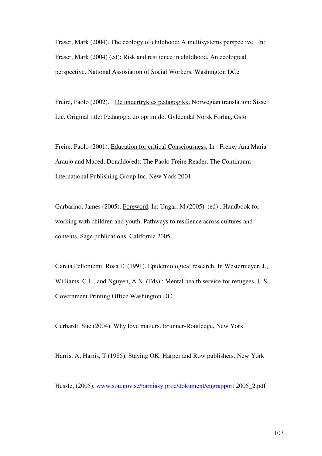Fraser, Mark (2004). The ecology of childhood: A multisystems perspective In: Fraser, Mark (2004) (ed): Risk and resilience in childhood. An ecological perspective. National Assosiation of Social Workers, Washington DCe

Freire, Paolo (2002). De undertryktes pedagogikk. Norwegian translation: Sissel Lie. Original title: Pedagogia do oprimido. Gyldendal Norsk Forlag, Oslo

Freire, Paolo (2001). Education for critical Consciousness. In : Freire, Ana Maria Araujo and Maced, Donaldo(ed): The Paolo Freire Reader. The Continuum International Publishing Group Inc, New York 2001

Garbarino, James (2005). Foreword. In: Ungar, M.(2005) (ed) : Handbook for working with children and youth. Pathways to resilience across cultures and contents. Sage publications, California 2005

Garcia Peltoniemi, Rosa E. (1991). Epidemiological research. In Westermeyer, J., Williams, C.L., and Nguyen, A.N. (Eds) : Mental health service for refugees. U.S. Government Printing Office Washington DC

Gerhardt, Sue (2004). Why love matters. Brunner-Routledge, New York

Harris, A; Harris, T (1985). Staying OK. Harper and Row publishers. New York

Hessle, (2005). www.sou.gov.se/barniasylproc/dokument/engrapport 2005\_2.pdf

103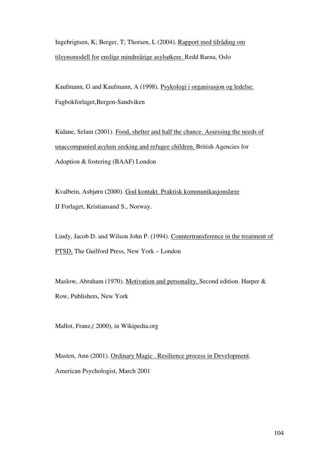Ingebrigtsen, K; Berger, T; Thorsen, L (2004). Rapport med tilråding om tilsynsmodell for enslige mindreårige asylsøkere. Redd Barna, Oslo

Kaufmann, G and Kaufmann, A (1998). Psykologi i organisasjon og ledelse. Fagbokforlaget,Bergen-Sandviken

Kidane, Selam (2001). Food, shelter and half the chance. Assessing the needs of unaccompanied asylum seeking and refugee children. British Agencies for Adoption & fostering (BAAF) London

Kvalbein, Asbjørn (2000). God kontakt. Praktisk kommunikasjonslære IJ Forlaget, Kristiansand S., Norway.

Lindy, Jacob D. and Wilson John P. (1994). Countertransference in the treatment of PTSD, The Guilford Press, New York – London

Maslow, Abraham (1970). Motivation and personality. Second edition. Harper & Row, Publishers, New York

Mallot, Franz,( 2000), in Wikipedia.org

Masten, Ann (2001). Ordinary Magic . Resilience process in Development. American Psychologist, March 2001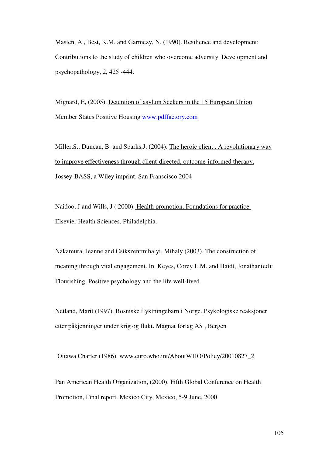Masten, A., Best, K.M. and Garmezy, N. (1990). Resilience and development: Contributions to the study of children who overcome adversity. Development and psychopathology, 2, 425 -444.

Mignard, E, (2005). Detention of asylum Seekers in the 15 European Union Member States Positive Housing www.pdffactory.com

Miller,S., Duncan, B. and Sparks,J. (2004). The heroic client . A revolutionary way to improve effectiveness through client-directed, outcome-informed therapy. Jossey-BASS, a Wiley imprint, San Franscisco 2004

Naidoo, J and Wills, J ( 2000): Health promotion. Foundations for practice. Elsevier Health Sciences, Philadelphia.

Nakamura, Jeanne and Csikszentmihalyi, Mihaly (2003). The construction of meaning through vital engagement. In Keyes, Corey L.M. and Haidt, Jonathan(ed): Flourishing. Positive psychology and the life well-lived

Netland, Marit (1997). Bosniske flyktningebarn i Norge. Psykologiske reaksjoner etter påkjenninger under krig og flukt. Magnat forlag AS , Bergen

Ottawa Charter (1986). www.euro.who.int/AboutWHO/Policy/20010827\_2

Pan American Health Organization, (2000). Fifth Global Conference on Health Promotion, Final report. Mexico City, Mexico, 5-9 June, 2000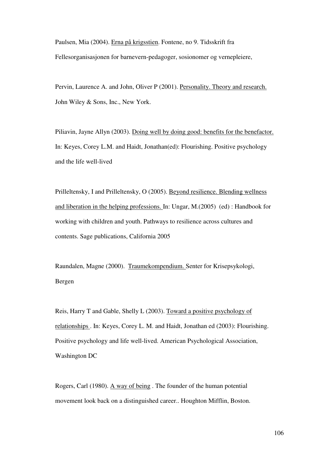Paulsen, Mia (2004). Erna på krigsstien. Fontene, no 9. Tidsskrift fra Fellesorganisasjonen for barnevern-pedagoger, sosionomer og vernepleiere,

Pervin, Laurence A. and John, Oliver P (2001). Personality. Theory and research. John Wiley & Sons, Inc., New York.

Piliavin, Jayne Allyn (2003). Doing well by doing good: benefits for the benefactor. In: Keyes, Corey L.M. and Haidt, Jonathan(ed): Flourishing. Positive psychology and the life well-lived

Prilleltensky, I and Prilleltensky, O (2005). Beyond resilience. Blending wellness and liberation in the helping professions. In: Ungar, M.(2005) (ed) : Handbook for working with children and youth. Pathways to resilience across cultures and contents. Sage publications, California 2005

Raundalen, Magne (2000). Traumekompendium. Senter for Krisepsykologi, Bergen

Reis, Harry T and Gable, Shelly L (2003). Toward a positive psychology of relationships . In: Keyes, Corey L. M. and Haidt, Jonathan ed (2003): Flourishing. Positive psychology and life well-lived. American Psychological Association, Washington DC

Rogers, Carl (1980). A way of being . The founder of the human potential movement look back on a distinguished career.. Houghton Mifflin, Boston.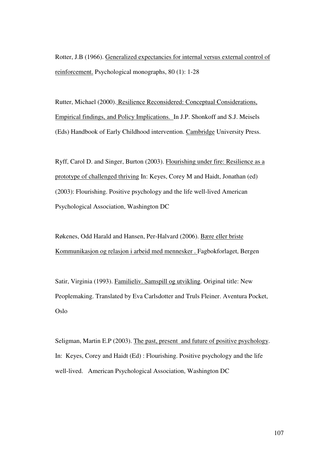Rotter, J.B (1966). Generalized expectancies for internal versus external control of reinforcement. Psychological monographs, 80 (1): 1-28

Rutter, Michael (2000). Resilience Reconsidered: Conceptual Considerations, Empirical findings, and Policy Implications. In J.P. Shonkoff and S.J. Meisels (Eds) Handbook of Early Childhood intervention. Cambridge University Press.

Ryff, Carol D. and Singer, Burton (2003). Flourishing under fire: Resilience as a prototype of challenged thriving In: Keyes, Corey M and Haidt, Jonathan (ed) (2003): Flourishing. Positive psychology and the life well-lived American Psychological Association, Washington DC

Røkenes, Odd Harald and Hansen, Per-Halvard (2006). Bære eller briste Kommunikasjon og relasjon i arbeid med mennesker . Fagbokforlaget, Bergen

Satir, Virginia (1993). Familieliv. Samspill og utvikling. Original title: New Peoplemaking. Translated by Eva Carlsdotter and Truls Fleiner. Aventura Pocket, Oslo

Seligman, Martin E.P (2003). The past, present and future of positive psychology. In: Keyes, Corey and Haidt (Ed) : Flourishing. Positive psychology and the life well-lived. American Psychological Association, Washington DC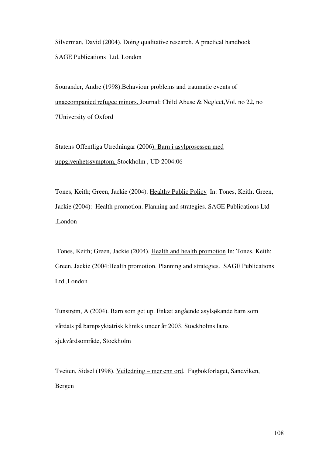Silverman, David (2004). Doing qualitative research. A practical handbook SAGE Publications Ltd. London

Sourander, Andre (1998).Behaviour problems and traumatic events of unaccompanied refugee minors. Journal: Child Abuse & Neglect,Vol. no 22, no 7University of Oxford

Statens Offentliga Utredningar (2006). Barn i asylprosessen med uppgivenhetssymptom, Stockholm , UD 2004:06

Tones, Keith; Green, Jackie (2004). Healthy Public Policy In: Tones, Keith; Green, Jackie (2004): Health promotion. Planning and strategies. SAGE Publications Ltd ,London

 Tones, Keith; Green, Jackie (2004). Health and health promotion In: Tones, Keith; Green, Jackie (2004:Health promotion. Planning and strategies. SAGE Publications Ltd ,London

Tunstrøm, A (2004). Barn som get up. Enkæt angående asylsøkande barn som vårdats på barnpsykiatrisk klinikk under år 2003. Stockholms læns sjukvårdsområde, Stockholm

Tveiten, Sidsel (1998). Veiledning – mer enn ord. Fagbokforlaget, Sandviken, Bergen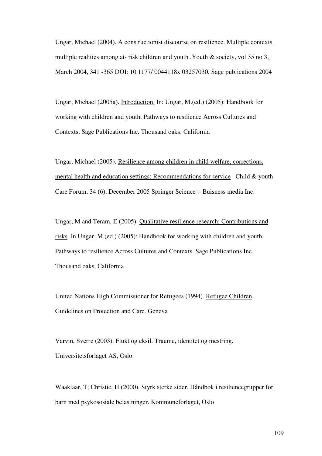Ungar, Michael (2004). A constructionist discourse on resilience. Multiple contexts multiple realities among at- risk children and youth .Youth & society, vol 35 no 3, March 2004, 341 -365 DOI: 10.1177/ 0044118x 03257030. Sage publications 2004

Ungar, Michael (2005a). Introduction. In: Ungar, M.(ed.) (2005): Handbook for working with children and youth. Pathways to resilience Across Cultures and Contexts. Sage Publications Inc. Thousand oaks, California

Ungar, Michael (2005). Resilience among children in child welfare, corrections, mental health and education settings: Recommendations for service Child & youth Care Forum, 34 (6), December 2005 Springer Science + Buisness media Inc.

Ungar, M and Teram, E (2005). Qualitative resilience research: Contributions and risks. In Ungar, M.(ed.) (2005): Handbook for working with children and youth. Pathways to resilience Across Cultures and Contexts. Sage Publications Inc. Thousand oaks, California

United Nations High Commissioner for Refugees (1994). Refugee Children. Guidelines on Protection and Care. Geneva

Varvin, Sverre (2003). Flukt og eksil. Traume, identitet og mestring. Universitetsforlaget AS, Oslo

Waaktaar, T; Christie, H (2000). Styrk sterke sider. Håndbok i resiliencegrupper for barn med psykososiale belastninger. Kommuneforlaget, Oslo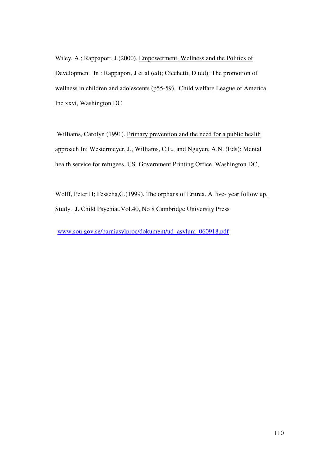Wiley, A.; Rappaport, J.(2000). Empowerment, Wellness and the Politics of Development In : Rappaport, J et al (ed); Cicchetti, D (ed): The promotion of wellness in children and adolescents (p55-59). Child welfare League of America, Inc xxvi, Washington DC

 Williams, Carolyn (1991). Primary prevention and the need for a public health approach In: Westermeyer, J., Williams, C.L., and Nguyen, A.N. (Eds): Mental health service for refugees. US. Government Printing Office, Washington DC,

Wolff, Peter H; Fesseha,G.(1999). The orphans of Eritrea. A five- year follow up. Study. J. Child Psychiat.Vol.40, No 8 Cambridge University Press

www.sou.gov.se/barniasylproc/dokument/ud\_asylum\_060918.pdf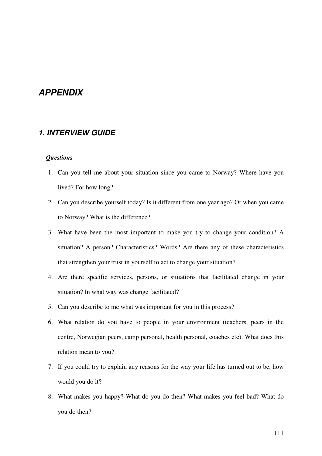# **APPENDIX**

## **1. INTERVIEW GUIDE**

#### *Questions*

- 1. Can you tell me about your situation since you came to Norway? Where have you lived? For how long?
- 2. Can you describe yourself today? Is it different from one year ago? Or when you came to Norway? What is the difference?
- 3. What have been the most important to make you try to change your condition? A situation? A person? Characteristics? Words? Are there any of these characteristics that strengthen your trust in yourself to act to change your situation?
- 4. Are there specific services, persons, or situations that facilitated change in your situation? In what way was change facilitated?
- 5. Can you describe to me what was important for you in this process?
- 6. What relation do you have to people in your environment (teachers, peers in the centre, Norwegian peers, camp personal, health personal, coaches etc). What does this relation mean to you?
- 7. If you could try to explain any reasons for the way your life has turned out to be, how would you do it?
- 8. What makes you happy? What do you do then? What makes you feel bad? What do you do then?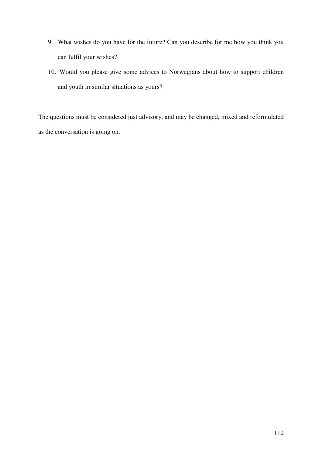- 9. What wishes do you have for the future? Can you describe for me how you think you can fulfil your wishes?
- 10. Would you please give some advices to Norwegians about how to support children and youth in similar situations as yours?

The questions must be considered just advisory, and may be changed, mixed and reformulated as the conversation is going on.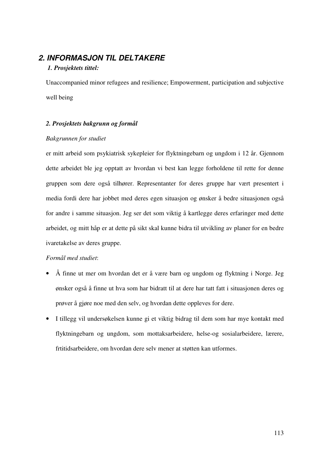## **2. INFORMASJON TIL DELTAKERE**

## *1. Prosjektets tittel:*

Unaccompanied minor refugees and resilience; Empowerment, participation and subjective well being

## *2. Prosjektets bakgrunn og formål*

### *Bakgrunnen for studiet*

er mitt arbeid som psykiatrisk sykepleier for flyktningebarn og ungdom i 12 år. Gjennom dette arbeidet ble jeg opptatt av hvordan vi best kan legge forholdene til rette for denne gruppen som dere også tilhører. Representanter for deres gruppe har vært presentert i media fordi dere har jobbet med deres egen situasjon og ønsker å bedre situasjonen også for andre i samme situasjon. Jeg ser det som viktig å kartlegge deres erfaringer med dette arbeidet, og mitt håp er at dette på sikt skal kunne bidra til utvikling av planer for en bedre ivaretakelse av deres gruppe.

## *Formål med studiet*:

- Å finne ut mer om hvordan det er å være barn og ungdom og flyktning i Norge. Jeg ønsker også å finne ut hva som har bidratt til at dere har tatt fatt i situasjonen deres og prøver å gjøre noe med den selv, og hvordan dette oppleves for dere.
- I tillegg vil undersøkelsen kunne gi et viktig bidrag til dem som har mye kontakt med flyktningebarn og ungdom, som mottaksarbeidere, helse-og sosialarbeidere, lærere, frtitidsarbeidere, om hvordan dere selv mener at støtten kan utformes.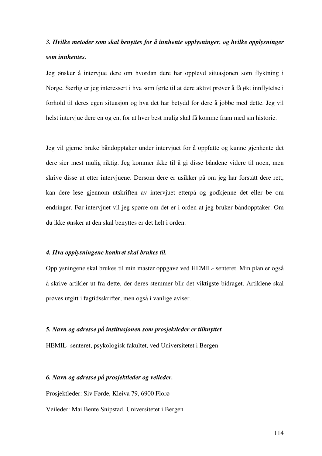# *3. Hvilke metoder som skal benyttes for å innhente opplysninger, og hvilke opplysninger som innhentes.*

Jeg ønsker å intervjue dere om hvordan dere har opplevd situasjonen som flyktning i Norge. Særlig er jeg interessert i hva som førte til at dere aktivt prøver å få økt innflytelse i forhold til deres egen situasjon og hva det har betydd for dere å jobbe med dette. Jeg vil helst intervjue dere en og en, for at hver best mulig skal få komme fram med sin historie.

Jeg vil gjerne bruke båndopptaker under intervjuet for å oppfatte og kunne gjenhente det dere sier mest mulig riktig. Jeg kommer ikke til å gi disse båndene videre til noen, men skrive disse ut etter intervjuene. Dersom dere er usikker på om jeg har forstått dere rett, kan dere lese gjennom utskriften av intervjuet etterpå og godkjenne det eller be om endringer. Før intervjuet vil jeg spørre om det er i orden at jeg bruker båndopptaker. Om du ikke ønsker at den skal benyttes er det helt i orden.

#### *4. Hva opplysningene konkret skal brukes til.*

Opplysningene skal brukes til min master oppgave ved HEMIL- senteret. Min plan er også å skrive artikler ut fra dette, der deres stemmer blir det viktigste bidraget. Artiklene skal prøves utgitt i fagtidsskrifter, men også i vanlige aviser.

#### *5. Navn og adresse på institusjonen som prosjektleder er tilknyttet*

HEMIL- senteret, psykologisk fakultet, ved Universitetet i Bergen

## *6. Navn og adresse på prosjektleder og veileder.*

Prosjektleder: Siv Førde, Kleiva 79, 6900 Florø

Veileder: Mai Bente Snipstad, Universitetet i Bergen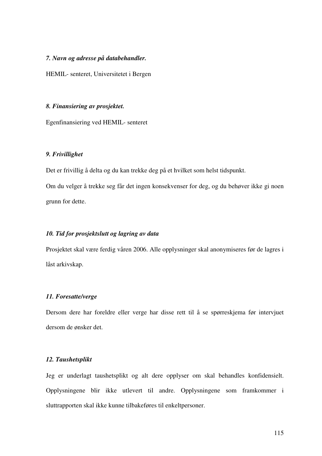#### *7. Navn og adresse på databehandler.*

HEMIL- senteret, Universitetet i Bergen

#### *8. Finansiering av prosjektet.*

Egenfinansiering ved HEMIL- senteret

#### *9. Frivillighet*

Det er frivillig å delta og du kan trekke deg på et hvilket som helst tidspunkt.

Om du velger å trekke seg får det ingen konsekvenser for deg, og du behøver ikke gi noen grunn for dette.

#### *10. Tid for prosjektslutt og lagring av data*

Prosjektet skal være ferdig våren 2006. Alle opplysninger skal anonymiseres før de lagres i låst arkivskap.

#### *11. Foresatte/verge*

Dersom dere har foreldre eller verge har disse rett til å se spørreskjema før intervjuet dersom de ønsker det.

## *12. Taushetsplikt*

Jeg er underlagt taushetsplikt og alt dere opplyser om skal behandles konfidensielt. Opplysningene blir ikke utlevert til andre. Opplysningene som framkommer i sluttrapporten skal ikke kunne tilbakeføres til enkeltpersoner.